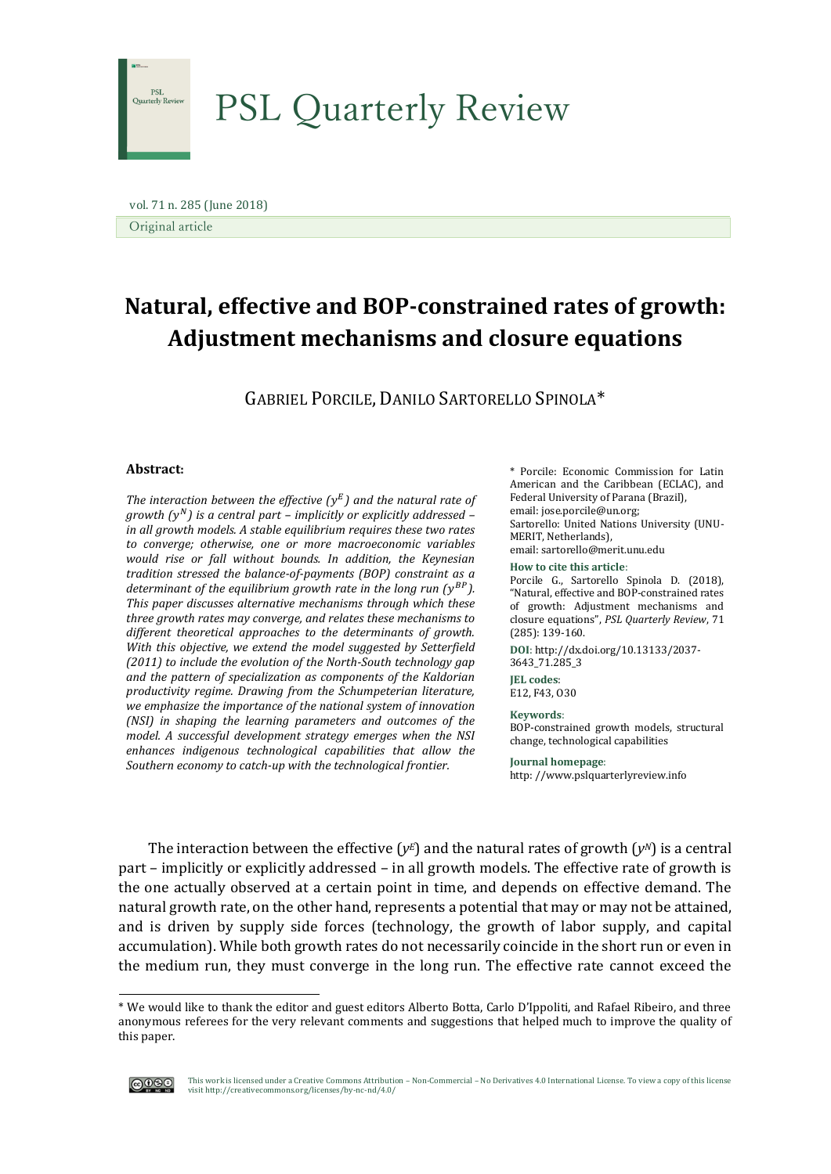

 vol. 71 n. 285 (June 2018) Original article

# **Natural, effective and BOP-constrained rates of growth: Adjustment mechanisms and closure equations**

GABRIEL PORCILE, DANILO SARTORELLO SPINOLA\*

# **Abstract:**

The interaction between the effective  $(y<sup>E</sup>)$  and the natural rate of *growth ( ) is a central part – implicitly or explicitly addressed – in all growth models. A stable equilibrium requires these two rates to converge; otherwise, one or more macroeconomic variables would rise or fall without bounds. In addition, the Keynesian tradition stressed the balance-of-payments (BOP) constraint as a*  determinant of the equilibrium growth rate in the long run (y<sup>BP</sup>). *This paper discusses alternative mechanisms through which these three growth rates may converge, and relates these mechanisms to different theoretical approaches to the determinants of growth. With this objective, we extend the model suggested by Setterfield (2011) to include the evolution of the North-South technology gap and the pattern of specialization as components of the Kaldorian productivity regime. Drawing from the Schumpeterian literature, we emphasize the importance of the national system of innovation (NSI) in shaping the learning parameters and outcomes of the model. A successful development strategy emerges when the NSI enhances indigenous technological capabilities that allow the Southern economy to catch-up with the technological frontier.*

\* Porcile: Economic Commission for Latin American and the Caribbean (ECLAC), and Federal University of Parana (Brazil), email: jose.porcile@un.org; Sartorello: United Nations University (UNU-MERIT, Netherlands), email: sartorello@merit.unu.edu **How to cite this article**: Porcile G., Sartorello Spinola D. (2018),

"Natural, effective and BOP-constrained rates of growth: Adjustment mechanisms and closure equations", *PSL Quarterly Review*, 71 (285): 139-160.

**DOI**: http://dx.doi.org/10.13133/2037- 3643\_71.285\_3

**JEL codes**: E12, F43, O30

#### **Keywords**:

BOP-constrained growth models, structural change, technological capabilities

**Journal homepage**: http: //www.pslquarterlyreview.info

The interaction between the effective ( $v<sup>E</sup>$ ) and the natural rates of growth ( $v<sup>N</sup>$ ) is a central part – implicitly or explicitly addressed – in all growth models. The effective rate of growth is the one actually observed at a certain point in time, and depends on effective demand. The natural growth rate, on the other hand, represents a potential that may or may not be attained, and is driven by supply side forces (technology, the growth of labor supply, and capital accumulation). While both growth rates do not necessarily coincide in the short run or even in the medium run, they must converge in the long run. The effective rate cannot exceed the

<sup>\*</sup> We would like to thank the editor and guest editors Alberto Botta, Carlo D'Ippoliti, and Rafael Ribeiro, and three anonymous referees for the very relevant comments and suggestions that helped much to improve the quality of this paper.



-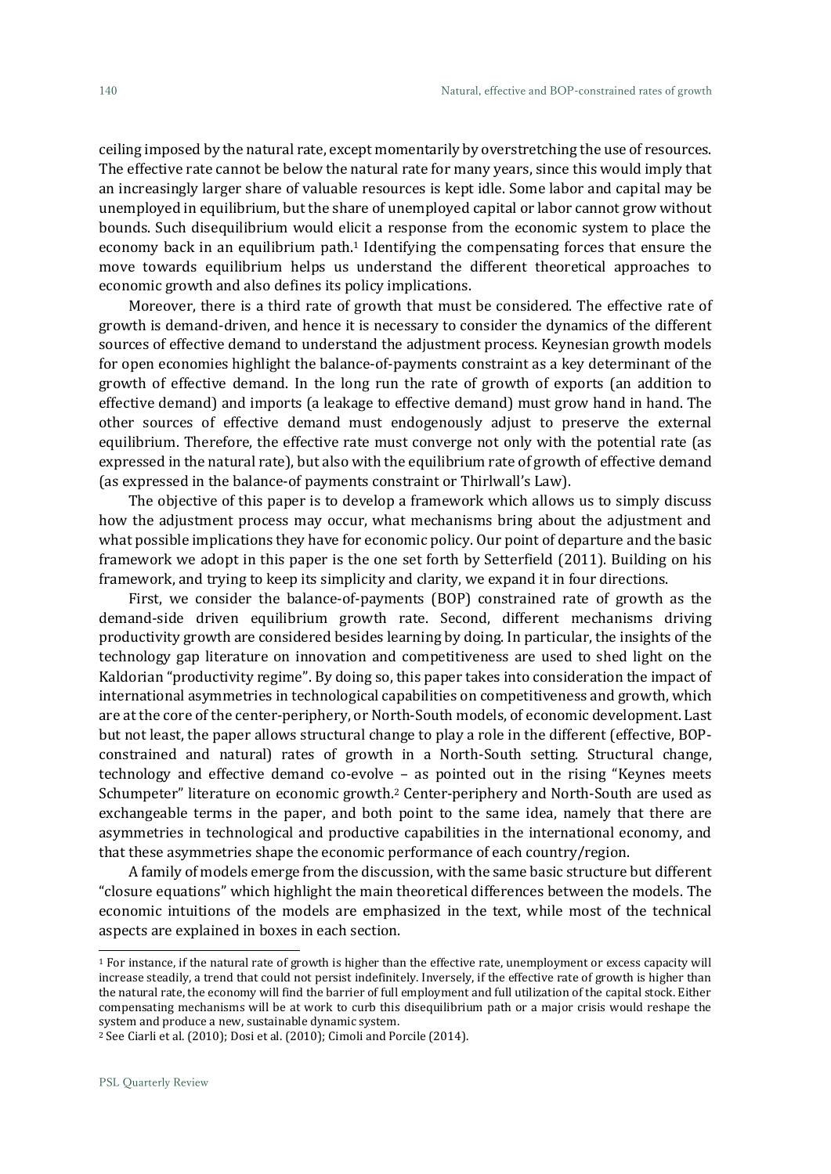ceiling imposed by the natural rate, except momentarily by overstretching the use of resources. The effective rate cannot be below the natural rate for many years, since this would imply that an increasingly larger share of valuable resources is kept idle. Some labor and capital may be unemployed in equilibrium, but the share of unemployed capital or labor cannot grow without bounds. Such disequilibrium would elicit a response from the economic system to place the economy back in an equilibrium path. <sup>1</sup> Identifying the compensating forces that ensure the move towards equilibrium helps us understand the different theoretical approaches to economic growth and also defines its policy implications.

Moreover, there is a third rate of growth that must be considered. The effective rate of growth is demand-driven, and hence it is necessary to consider the dynamics of the different sources of effective demand to understand the adjustment process. Keynesian growth models for open economies highlight the balance-of-payments constraint as a key determinant of the growth of effective demand. In the long run the rate of growth of exports (an addition to effective demand) and imports (a leakage to effective demand) must grow hand in hand. The other sources of effective demand must endogenously adjust to preserve the external equilibrium. Therefore, the effective rate must converge not only with the potential rate (as expressed in the natural rate), but also with the equilibrium rate of growth of effective demand (as expressed in the balance-of payments constraint or Thirlwall's Law).

The objective of this paper is to develop a framework which allows us to simply discuss how the adjustment process may occur, what mechanisms bring about the adjustment and what possible implications they have for economic policy. Our point of departure and the basic framework we adopt in this paper is the one set forth by Setterfield (2011). Building on his framework, and trying to keep its simplicity and clarity, we expand it in four directions.

First, we consider the balance-of-payments (BOP) constrained rate of growth as the demand-side driven equilibrium growth rate. Second, different mechanisms driving productivity growth are considered besides learning by doing. In particular, the insights of the technology gap literature on innovation and competitiveness are used to shed light on the Kaldorian "productivity regime". By doing so, this paper takes into consideration the impact of international asymmetries in technological capabilities on competitiveness and growth, which are at the core of the center-periphery, or North-South models, of economic development. Last but not least, the paper allows structural change to play a role in the different (effective, BOPconstrained and natural) rates of growth in a North-South setting. Structural change, technology and effective demand co-evolve – as pointed out in the rising "Keynes meets Schumpeter" literature on economic growth. <sup>2</sup> Center-periphery and North-South are used as exchangeable terms in the paper, and both point to the same idea, namely that there are asymmetries in technological and productive capabilities in the international economy, and that these asymmetries shape the economic performance of each country/region.

A family of models emerge from the discussion, with the same basic structure but different "closure equations" which highlight the main theoretical differences between the models. The economic intuitions of the models are emphasized in the text, while most of the technical aspects are explained in boxes in each section.

<sup>1</sup> For instance, if the natural rate of growth is higher than the effective rate, unemployment or excess capacity will increase steadily, a trend that could not persist indefinitely. Inversely, if the effective rate of growth is higher than the natural rate, the economy will find the barrier of full employment and full utilization of the capital stock. Either compensating mechanisms will be at work to curb this disequilibrium path or a major crisis would reshape the system and produce a new, sustainable dynamic system.

<sup>2</sup> See Ciarli et al. (2010); Dosi et al. (2010); Cimoli and Porcile (2014).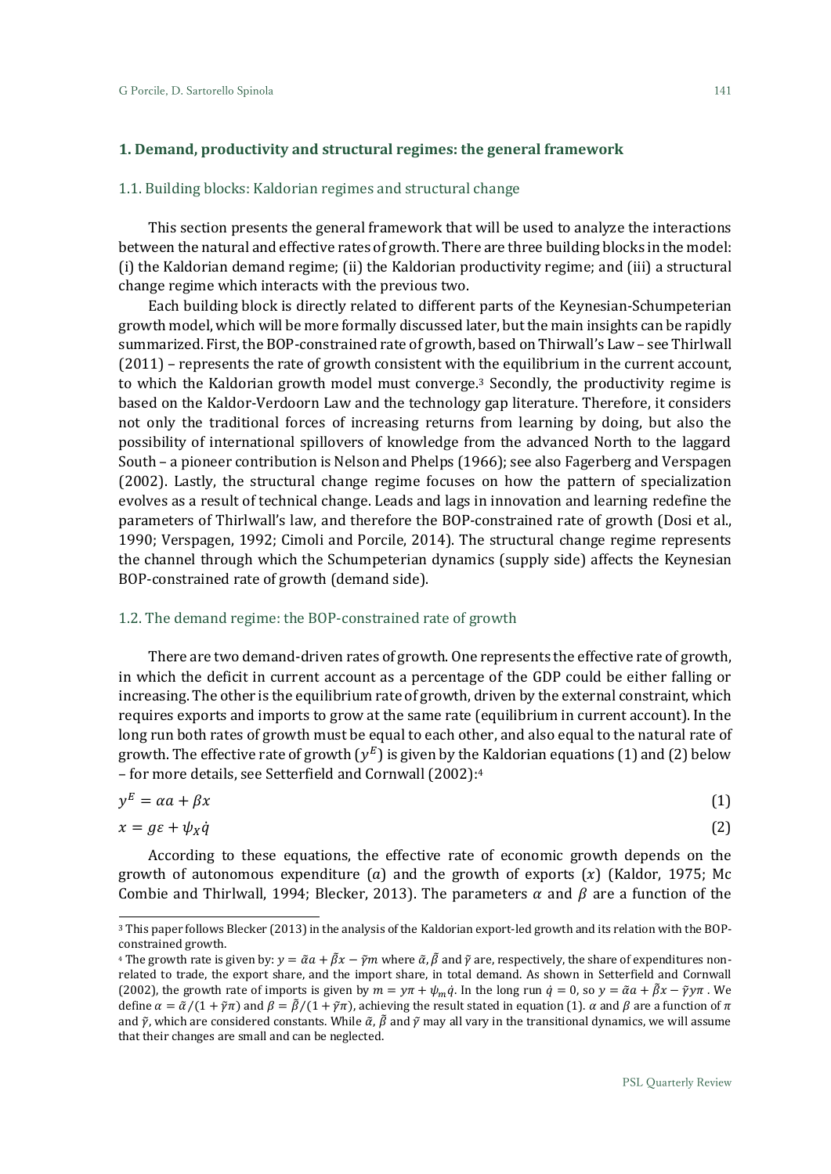1

## 1.1. Building blocks: Kaldorian regimes and structural change

This section presents the general framework that will be used to analyze the interactions between the natural and effective rates of growth. There are three building blocks in the model: (i) the Kaldorian demand regime; (ii) the Kaldorian productivity regime; and (iii) a structural change regime which interacts with the previous two.

Each building block is directly related to different parts of the Keynesian-Schumpeterian growth model, which will be more formally discussed later, but the main insights can be rapidly summarized. First, the BOP-constrained rate of growth, based on Thirwall's Law – see Thirlwall (2011) – represents the rate of growth consistent with the equilibrium in the current account, to which the Kaldorian growth model must converge. <sup>3</sup> Secondly, the productivity regime is based on the Kaldor-Verdoorn Law and the technology gap literature. Therefore, it considers not only the traditional forces of increasing returns from learning by doing, but also the possibility of international spillovers of knowledge from the advanced North to the laggard South – a pioneer contribution is Nelson and Phelps (1966); see also Fagerberg and Verspagen (2002). Lastly, the structural change regime focuses on how the pattern of specialization evolves as a result of technical change. Leads and lags in innovation and learning redefine the parameters of Thirlwall's law, and therefore the BOP-constrained rate of growth (Dosi et al., 1990; Verspagen, 1992; Cimoli and Porcile, 2014). The structural change regime represents the channel through which the Schumpeterian dynamics (supply side) affects the Keynesian BOP-constrained rate of growth (demand side).

#### 1.2. The demand regime: the BOP-constrained rate of growth

There are two demand-driven rates of growth. One represents the effective rate of growth, in which the deficit in current account as a percentage of the GDP could be either falling or increasing. The other is the equilibrium rate of growth, driven by the external constraint, which requires exports and imports to grow at the same rate (equilibrium in current account). In the long run both rates of growth must be equal to each other, and also equal to the natural rate of growth. The effective rate of growth  $(y^E)$  is given by the Kaldorian equations (1) and (2) below – for more details, see Setterfield and Cornwall (2002):<sup>4</sup>

$$
y^E = \alpha a + \beta x \tag{1}
$$

$$
x = g\varepsilon + \psi_X \dot{q} \tag{2}
$$

According to these equations, the effective rate of economic growth depends on the growth of autonomous expenditure (a) and the growth of exports  $(x)$  (Kaldor, 1975; Mc Combie and Thirlwall, 1994; Blecker, 2013). The parameters  $\alpha$  and  $\beta$  are a function of the

<sup>3</sup> This paper follows Blecker (2013) in the analysis of the Kaldorian export-led growth and its relation with the BOPconstrained growth.

<sup>&</sup>lt;sup>4</sup> The growth rate is given by:  $y = \tilde{\alpha}a + \tilde{\beta}x - \tilde{\gamma}m$  where  $\tilde{\alpha}$ ,  $\tilde{\beta}$  and  $\tilde{\gamma}$  are, respectively, the share of expenditures nonrelated to trade, the export share, and the import share, in total demand. As shown in Setterfield and Cornwall (2002), the growth rate of imports is given by  $m = y\pi + \psi_m \dot{q}$ . In the long run  $\dot{q} = 0$ , so  $y = \tilde{\alpha}a + \tilde{\beta}x - \tilde{\gamma}y\pi$ . We define  $\alpha = \tilde{\alpha}/(1 + \tilde{\gamma}\pi)$  and  $\beta = \tilde{\beta}/(1 + \tilde{\gamma}\pi)$ , achieving the result stated in equation (1).  $\alpha$  and  $\beta$  are a function of  $\pi$ and  $\tilde{v}$ , which are considered constants. While  $\tilde{\alpha}$ ,  $\tilde{\beta}$  and  $\tilde{\gamma}$  may all vary in the transitional dynamics, we will assume that their changes are small and can be neglected.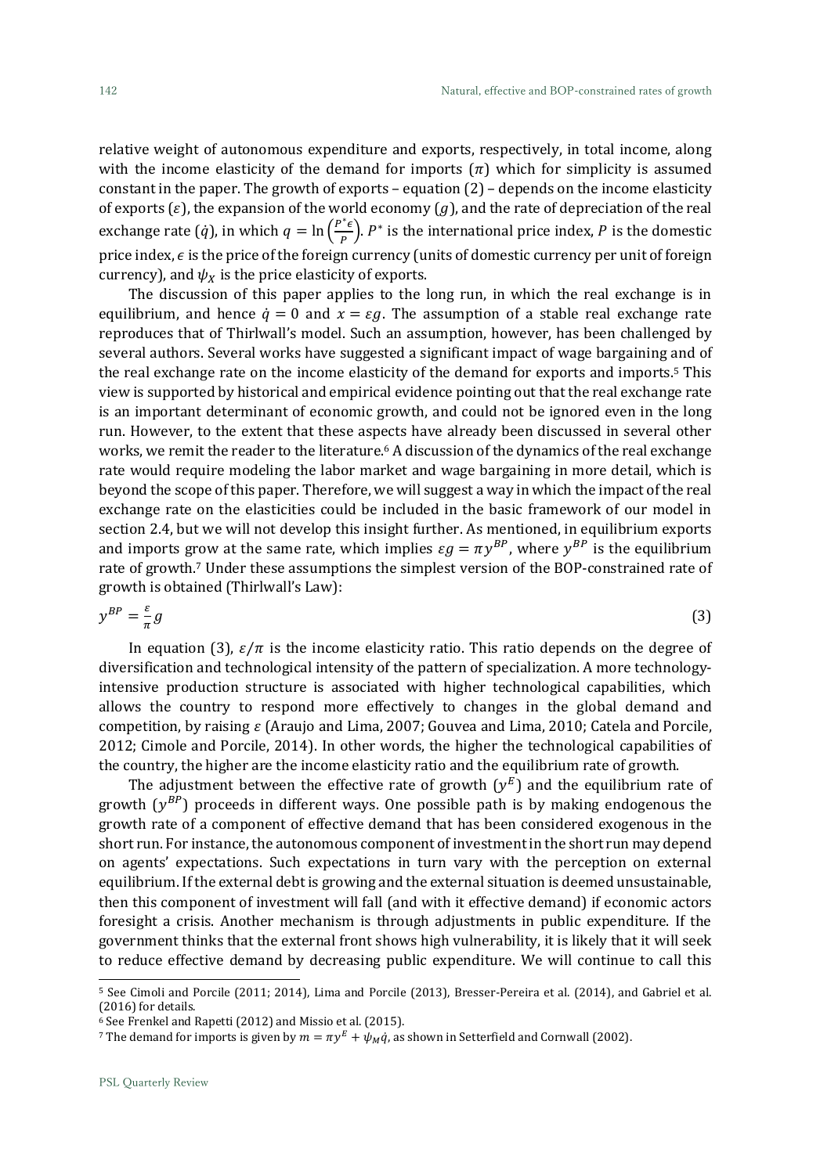relative weight of autonomous expenditure and exports, respectively, in total income, along with the income elasticity of the demand for imports  $(\pi)$  which for simplicity is assumed constant in the paper. The growth of exports – equation  $(2)$  – depends on the income elasticity of exports ( $\varepsilon$ ), the expansion of the world economy ( $g$ ), and the rate of depreciation of the real exchange rate (*q*), in which  $q = \ln \left( \frac{P^* \epsilon}{P} \right)$  $(\frac{\epsilon}{P})$ .  $P^*$  is the international price index, P is the domestic price index,  $\epsilon$  is the price of the foreign currency (units of domestic currency per unit of foreign currency), and  $\psi_X$  is the price elasticity of exports.

The discussion of this paper applies to the long run, in which the real exchange is in equilibrium, and hence  $\dot{q} = 0$  and  $x = \varepsilon g$ . The assumption of a stable real exchange rate reproduces that of Thirlwall's model. Such an assumption, however, has been challenged by several authors. Several works have suggested a significant impact of wage bargaining and of the real exchange rate on the income elasticity of the demand for exports and imports.<sup>5</sup> This view is supported by historical and empirical evidence pointing out that the real exchange rate is an important determinant of economic growth, and could not be ignored even in the long run. However, to the extent that these aspects have already been discussed in several other works, we remit the reader to the literature. <sup>6</sup> A discussion of the dynamics of the real exchange rate would require modeling the labor market and wage bargaining in more detail, which is beyond the scope of this paper. Therefore, we will suggest a way in which the impact of the real exchange rate on the elasticities could be included in the basic framework of our model in section 2.4, but we will not develop this insight further. As mentioned, in equilibrium exports and imports grow at the same rate, which implies  $\epsilon g = \pi y^{BP}$ , where  $y^{BP}$  is the equilibrium rate of growth. <sup>7</sup> Under these assumptions the simplest version of the BOP-constrained rate of growth is obtained (Thirlwall's Law):

$$
y^{BP} = \frac{\varepsilon}{\pi}g\tag{3}
$$

In equation (3),  $\varepsilon/\pi$  is the income elasticity ratio. This ratio depends on the degree of diversification and technological intensity of the pattern of specialization. A more technologyintensive production structure is associated with higher technological capabilities, which allows the country to respond more effectively to changes in the global demand and competition, by raising  $\varepsilon$  (Araujo and Lima, 2007; Gouvea and Lima, 2010; Catela and Porcile, 2012; Cimole and Porcile, 2014). In other words, the higher the technological capabilities of the country, the higher are the income elasticity ratio and the equilibrium rate of growth.

The adjustment between the effective rate of growth  $(y^E)$  and the equilibrium rate of growth  $(y^{BP})$  proceeds in different ways. One possible path is by making endogenous the growth rate of a component of effective demand that has been considered exogenous in the short run. For instance, the autonomous component of investment in the short run may depend on agents' expectations. Such expectations in turn vary with the perception on external equilibrium. If the external debt is growing and the external situation is deemed unsustainable, then this component of investment will fall (and with it effective demand) if economic actors foresight a crisis. Another mechanism is through adjustments in public expenditure. If the government thinks that the external front shows high vulnerability, it is likely that it will seek to reduce effective demand by decreasing public expenditure. We will continue to call this

<sup>5</sup> See Cimoli and Porcile (2011; 2014), Lima and Porcile (2013), Bresser-Pereira et al. (2014), and Gabriel et al. (2016) for details.

 $6$  See Frenkel and Rapetti (2012) and Missio et al. (2015).

<sup>&</sup>lt;sup>7</sup> The demand for imports is given by  $m = \pi y^E + \psi_M \dot{q}$ , as shown in Setterfield and Cornwall (2002).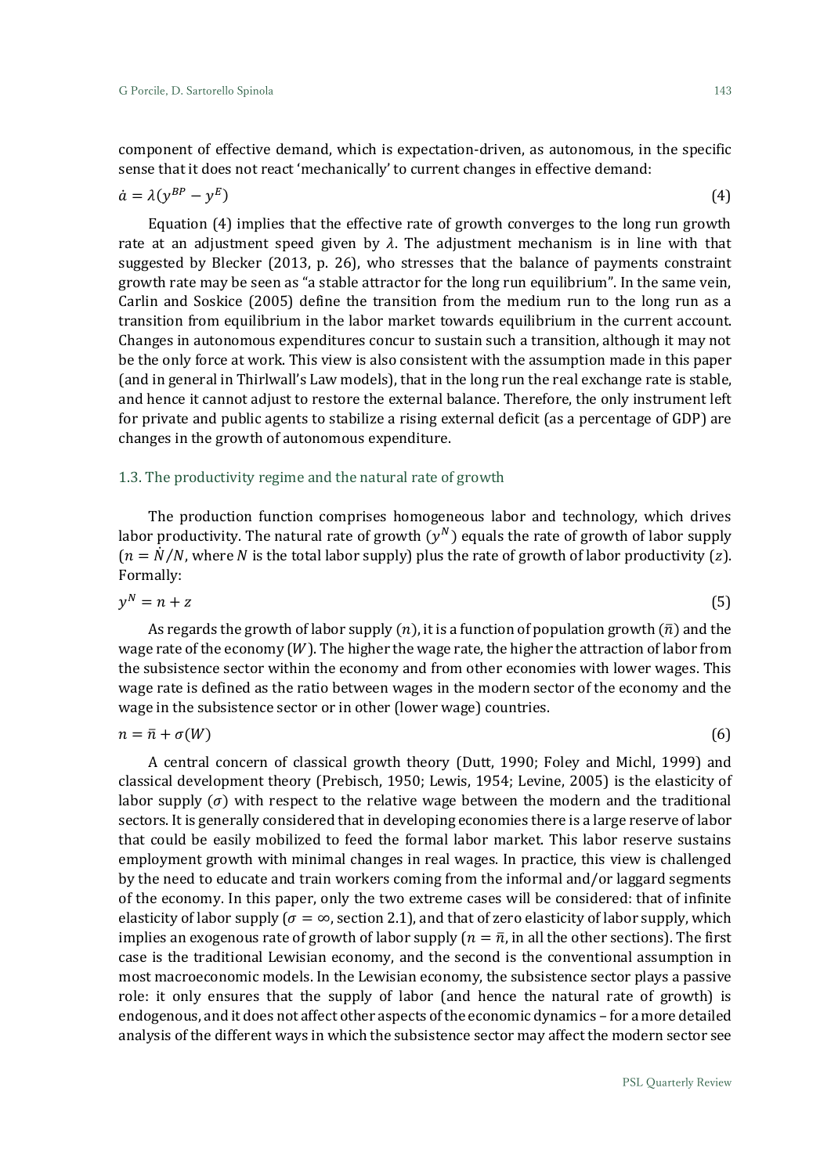component of effective demand, which is expectation-driven, as autonomous, in the specific sense that it does not react 'mechanically' to current changes in effective demand:

$$
\dot{a} = \lambda (y^{BP} - y^E) \tag{4}
$$

Equation (4) implies that the effective rate of growth converges to the long run growth rate at an adjustment speed given by  $\lambda$ . The adjustment mechanism is in line with that suggested by Blecker (2013, p. 26), who stresses that the balance of payments constraint growth rate may be seen as "a stable attractor for the long run equilibrium". In the same vein, Carlin and Soskice (2005) define the transition from the medium run to the long run as a transition from equilibrium in the labor market towards equilibrium in the current account. Changes in autonomous expenditures concur to sustain such a transition, although it may not be the only force at work. This view is also consistent with the assumption made in this paper (and in general in Thirlwall's Law models), that in the long run the real exchange rate is stable, and hence it cannot adjust to restore the external balance. Therefore, the only instrument left for private and public agents to stabilize a rising external deficit (as a percentage of GDP) are changes in the growth of autonomous expenditure.

#### 1.3. The productivity regime and the natural rate of growth

The production function comprises homogeneous labor and technology, which drives labor productivity. The natural rate of growth  $(y^N)$  equals the rate of growth of labor supply  $(n = N/N)$ , where N is the total labor supply) plus the rate of growth of labor productivity (z). Formally:

$$
y^N = n + z \tag{5}
$$

As regards the growth of labor supply  $(n)$ , it is a function of population growth  $(\bar{n})$  and the wage rate of the economy  $(W)$ . The higher the wage rate, the higher the attraction of labor from the subsistence sector within the economy and from other economies with lower wages. This wage rate is defined as the ratio between wages in the modern sector of the economy and the wage in the subsistence sector or in other (lower wage) countries.

$$
n = \bar{n} + \sigma(W) \tag{6}
$$

A central concern of classical growth theory (Dutt, 1990; Foley and Michl, 1999) and classical development theory (Prebisch, 1950; Lewis, 1954; Levine, 2005) is the elasticity of labor supply  $(\sigma)$  with respect to the relative wage between the modern and the traditional sectors. It is generally considered that in developing economies there is a large reserve of labor that could be easily mobilized to feed the formal labor market. This labor reserve sustains employment growth with minimal changes in real wages. In practice, this view is challenged by the need to educate and train workers coming from the informal and/or laggard segments of the economy. In this paper, only the two extreme cases will be considered: that of infinite elasticity of labor supply ( $\sigma = \infty$ , section 2.1), and that of zero elasticity of labor supply, which implies an exogenous rate of growth of labor supply  $(n = \overline{n})$ , in all the other sections). The first case is the traditional Lewisian economy, and the second is the conventional assumption in most macroeconomic models. In the Lewisian economy, the subsistence sector plays a passive role: it only ensures that the supply of labor (and hence the natural rate of growth) is endogenous, and it does not affect other aspects of the economic dynamics – for a more detailed analysis of the different ways in which the subsistence sector may affect the modern sector see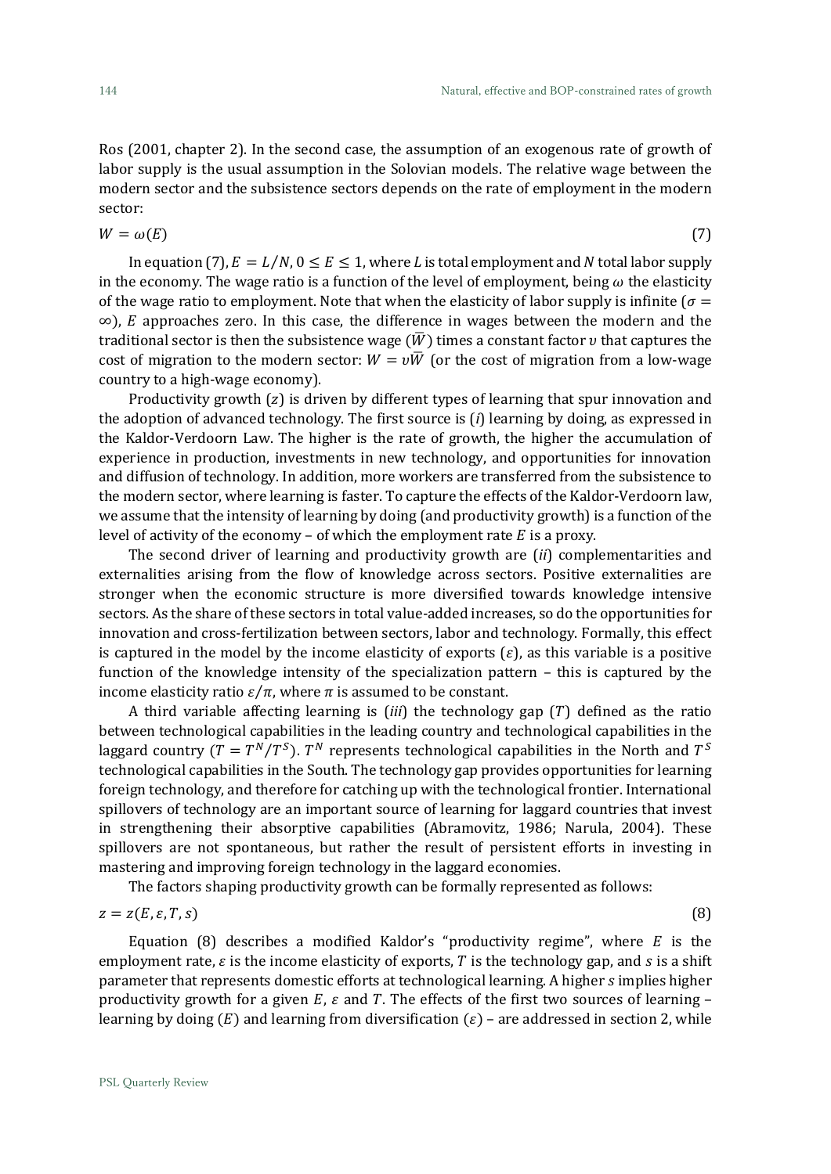Ros (2001, chapter 2). In the second case, the assumption of an exogenous rate of growth of labor supply is the usual assumption in the Solovian models. The relative wage between the modern sector and the subsistence sectors depends on the rate of employment in the modern sector:

$$
W = \omega(E) \tag{7}
$$

In equation (7),  $E = L/N$ ,  $0 \le E \le 1$ , where L is total employment and N total labor supply in the economy. The wage ratio is a function of the level of employment, being  $\omega$  the elasticity of the wage ratio to employment. Note that when the elasticity of labor supply is infinite ( $\sigma$  =  $\infty$ ), *E* approaches zero. In this case, the difference in wages between the modern and the traditional sector is then the subsistence wage  $(\overline{W})$  times a constant factor v that captures the cost of migration to the modern sector:  $W = v\overline{W}$  (or the cost of migration from a low-wage country to a high-wage economy).

Productivity growth  $(z)$  is driven by different types of learning that spur innovation and the adoption of advanced technology. The first source is (*i*) learning by doing, as expressed in the Kaldor-Verdoorn Law. The higher is the rate of growth, the higher the accumulation of experience in production, investments in new technology, and opportunities for innovation and diffusion of technology. In addition, more workers are transferred from the subsistence to the modern sector, where learning is faster. To capture the effects of the Kaldor-Verdoorn law, we assume that the intensity of learning by doing (and productivity growth) is a function of the level of activity of the economy – of which the employment rate  $E$  is a proxy.

The second driver of learning and productivity growth are (*ii*) complementarities and externalities arising from the flow of knowledge across sectors. Positive externalities are stronger when the economic structure is more diversified towards knowledge intensive sectors. As the share of these sectors in total value-added increases, so do the opportunities for innovation and cross-fertilization between sectors, labor and technology. Formally, this effect is captured in the model by the income elasticity of exports  $(\varepsilon)$ , as this variable is a positive function of the knowledge intensity of the specialization pattern – this is captured by the income elasticity ratio  $\varepsilon/\pi$ , where  $\pi$  is assumed to be constant.

A third variable affecting learning is  $(iii)$  the technology gap  $(T)$  defined as the ratio between technological capabilities in the leading country and technological capabilities in the laggard country ( $T=T^{N}/T^{S}$ ).  $T^{N}$  represents technological capabilities in the North and  $T^{S}$ technological capabilities in the South. The technology gap provides opportunities for learning foreign technology, and therefore for catching up with the technological frontier. International spillovers of technology are an important source of learning for laggard countries that invest in strengthening their absorptive capabilities (Abramovitz, 1986; Narula, 2004). These spillovers are not spontaneous, but rather the result of persistent efforts in investing in mastering and improving foreign technology in the laggard economies.

The factors shaping productivity growth can be formally represented as follows:

$$
z = z(E, \varepsilon, T, s) \tag{8}
$$

Equation (8) describes a modified Kaldor's "productivity regime", where  $E$  is the employment rate,  $\varepsilon$  is the income elasticity of exports, T is the technology gap, and  $\overline{s}$  is a shift parameter that represents domestic efforts at technological learning. A higher *s* implies higher productivity growth for a given  $E$ ,  $\varepsilon$  and  $T$ . The effects of the first two sources of learning – learning by doing  $(E)$  and learning from diversification  $(\varepsilon)$  – are addressed in section 2, while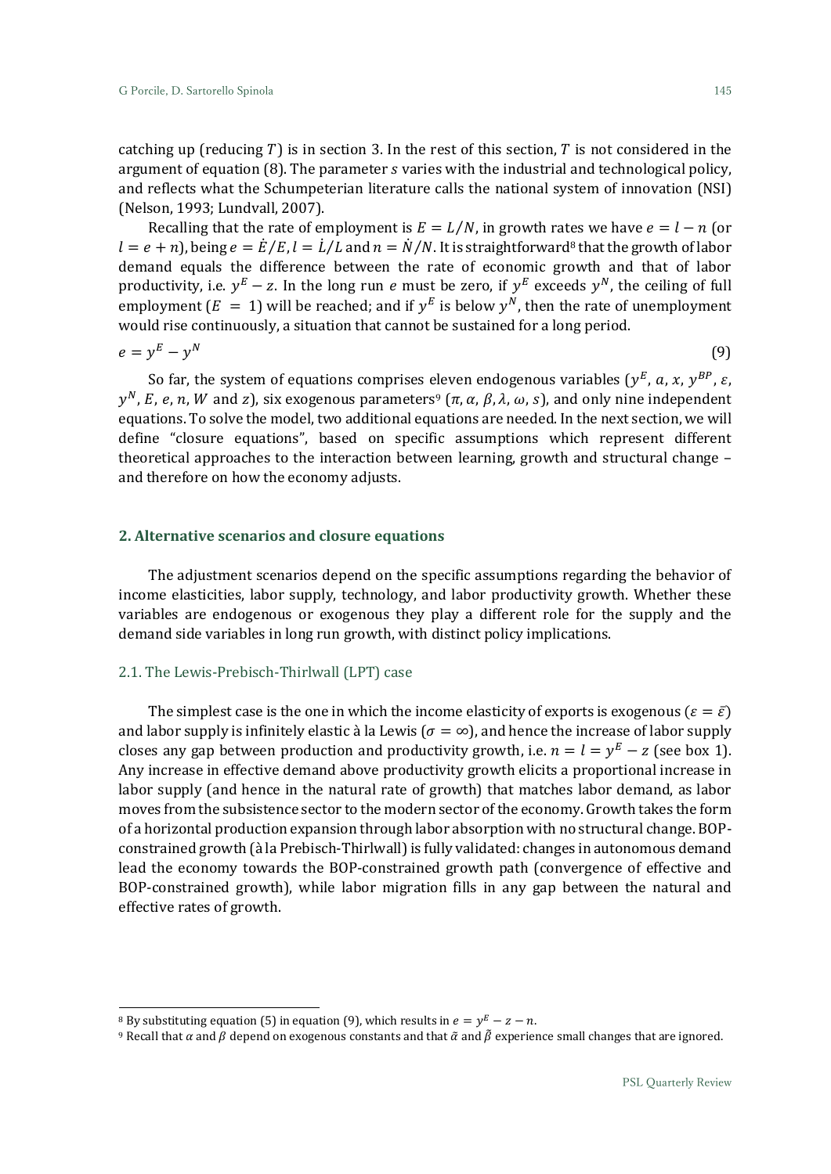catching up (reducing  $T$ ) is in section 3. In the rest of this section,  $T$  is not considered in the argument of equation  $(8)$ . The parameter  $s$  varies with the industrial and technological policy, and reflects what the Schumpeterian literature calls the national system of innovation (NSI) (Nelson, 1993; Lundvall, 2007).

Recalling that the rate of employment is  $E = L/N$ , in growth rates we have  $e = l - n$  (or  $l = e + n$ ), being  $e = \dot{E}/E$ ,  $l = \dot{L}/L$  and  $n = \dot{N}/N$ . It is straightforward<sup>8</sup> that the growth of labor demand equals the difference between the rate of economic growth and that of labor productivity, i.e.  $y^E - z$ . In the long run *e* must be zero, if  $y^E$  exceeds  $y^N$ , the ceiling of full employment  $(E = 1)$  will be reached; and if  $y^E$  is below  $y^N$ , then the rate of unemployment would rise continuously, a situation that cannot be sustained for a long period.

$$
e = y^E - y^N \tag{9}
$$

So far, the system of equations comprises eleven endogenous variables ( $y^E$ , a, x,  $y^{BP}$ ,  $\varepsilon$ ,  $y^N$ , E, e, n, W and z), six exogenous parameters<sup>9</sup> ( $\pi$ ,  $\alpha$ ,  $\beta$ ,  $\lambda$ ,  $\omega$ , s), and only nine independent equations. To solve the model, two additional equations are needed. In the next section, we will define "closure equations", based on specific assumptions which represent different theoretical approaches to the interaction between learning, growth and structural change – and therefore on how the economy adjusts.

# **2. Alternative scenarios and closure equations**

The adjustment scenarios depend on the specific assumptions regarding the behavior of income elasticities, labor supply, technology, and labor productivity growth. Whether these variables are endogenous or exogenous they play a different role for the supply and the demand side variables in long run growth, with distinct policy implications.

# 2.1. The Lewis-Prebisch-Thirlwall (LPT) case

The simplest case is the one in which the income elasticity of exports is exogenous ( $\varepsilon = \bar{\varepsilon}$ ) and labor supply is infinitely elastic à la Lewis ( $\sigma = \infty$ ), and hence the increase of labor supply closes any gap between production and productivity growth, i.e.  $n = l = y^E - z$  (see box 1). Any increase in effective demand above productivity growth elicits a proportional increase in labor supply (and hence in the natural rate of growth) that matches labor demand, as labor moves from the subsistence sector to the modern sector of the economy. Growth takes the form of a horizontal production expansion through labor absorption with no structural change. BOPconstrained growth (à la Prebisch-Thirlwall) is fully validated: changes in autonomous demand lead the economy towards the BOP-constrained growth path (convergence of effective and BOP-constrained growth), while labor migration fills in any gap between the natural and effective rates of growth.

1

<sup>&</sup>lt;sup>8</sup> By substituting equation (5) in equation (9), which results in  $e = y^E - z - n$ .

<sup>&</sup>lt;sup>9</sup> Recall that *α* and *β* depend on exogenous constants and that  $\tilde{\alpha}$  and  $\tilde{\beta}$  experience small changes that are ignored.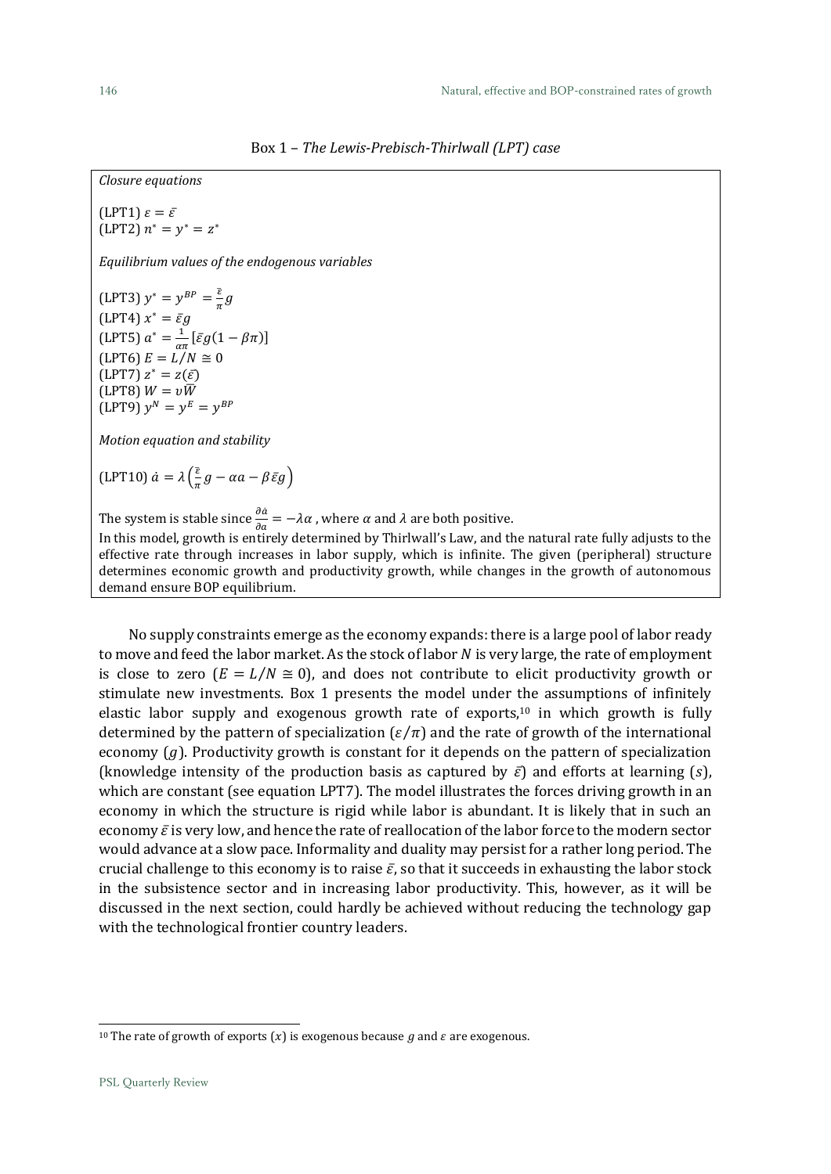Box 1 – *The Lewis-Prebisch-Thirlwall (LPT) case*

*Closure equations* (LPT1)  $\varepsilon = \bar{\varepsilon}$  $(LPT2) n^* = y^* = z^*$ *Equilibrium values of the endogenous variables* (LPT3)  $y^* = y^{BP} = \frac{\overline{\varepsilon}}{g}g$ (LPT4)  $x^* = \bar{\varepsilon}g$ (LPT5)  $a^* = \frac{1}{a^*}$  $\frac{1}{\alpha\pi}$ [ $\bar{\varepsilon}g(1-\beta\pi)$ ]  $(LPT6) E = L/N \approx 0$  $(LPT7) z^* = z(\bar{\varepsilon})$ (LPT8)  $W = v\overline{W}$  $(LPT9) y^N = y^E = y^{BP}$ *Motion equation and stability* (LPT10)  $\dot{a} = \lambda \left( \frac{\bar{\varepsilon}}{\pi} \right)$  $\frac{c}{\pi}g-\alpha a-\beta \bar{\varepsilon}g$ The system is stable since  $\frac{\partial \dot{a}}{\partial a} = -\lambda \alpha$  , where  $\alpha$  and  $\lambda$  are both positive. In this model, growth is entirely determined by Thirlwall's Law, and the natural rate fully adjusts to the

effective rate through increases in labor supply, which is infinite. The given (peripheral) structure determines economic growth and productivity growth, while changes in the growth of autonomous demand ensure BOP equilibrium.

No supply constraints emerge as the economy expands: there is a large pool of labor ready to move and feed the labor market. As the stock of labor  $N$  is very large, the rate of employment is close to zero  $(E = L/N \approx 0)$ , and does not contribute to elicit productivity growth or stimulate new investments. Box 1 presents the model under the assumptions of infinitely elastic labor supply and exogenous growth rate of exports, <sup>10</sup> in which growth is fully determined by the pattern of specialization  $(\varepsilon/\pi)$  and the rate of growth of the international economy  $(g)$ . Productivity growth is constant for it depends on the pattern of specialization (knowledge intensity of the production basis as captured by  $\bar{\varepsilon}$ ) and efforts at learning (*s*), which are constant (see equation LPT7). The model illustrates the forces driving growth in an economy in which the structure is rigid while labor is abundant. It is likely that in such an economy  $\bar{\varepsilon}$  is very low, and hence the rate of reallocation of the labor force to the modern sector would advance at a slow pace. Informality and duality may persist for a rather long period. The crucial challenge to this economy is to raise  $\bar{\varepsilon}$ , so that it succeeds in exhausting the labor stock in the subsistence sector and in increasing labor productivity. This, however, as it will be discussed in the next section, could hardly be achieved without reducing the technology gap with the technological frontier country leaders.

<sup>&</sup>lt;sup>10</sup> The rate of growth of exports  $(x)$  is exogenous because g and  $\varepsilon$  are exogenous.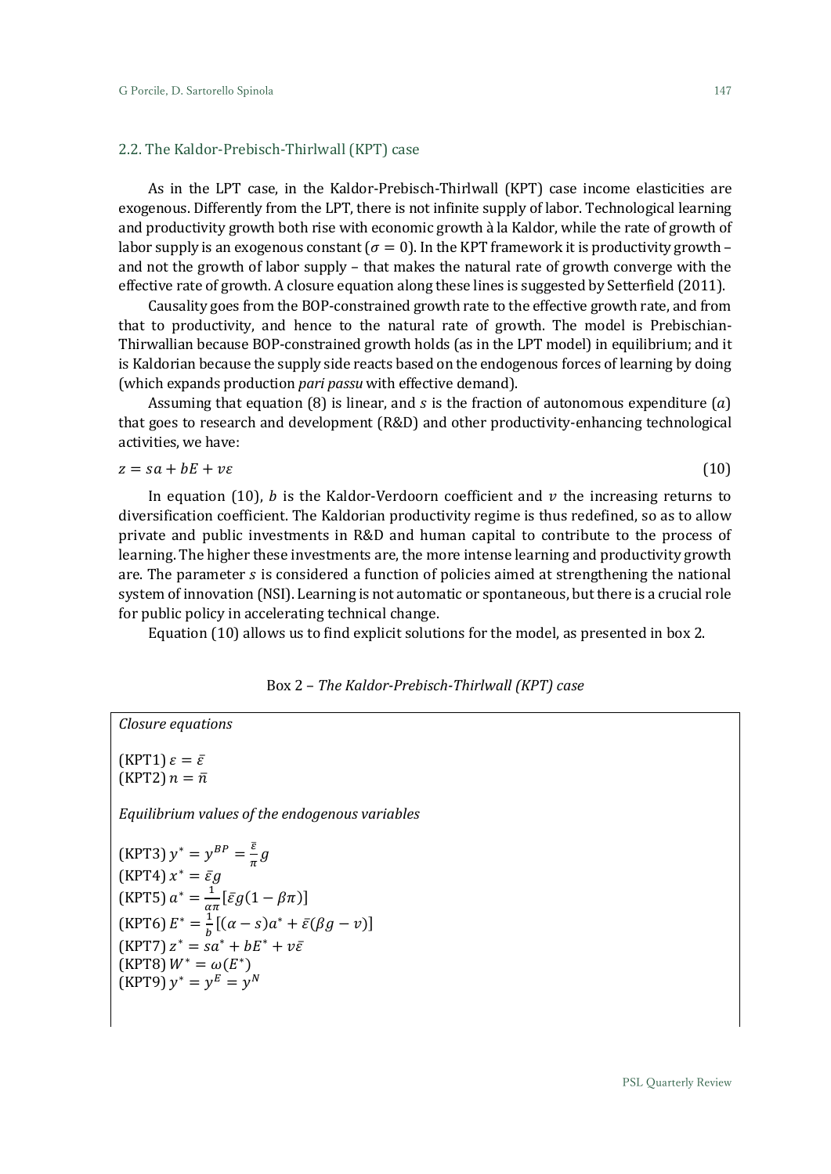# 2.2. The Kaldor-Prebisch-Thirlwall (KPT) case

As in the LPT case, in the Kaldor-Prebisch-Thirlwall (KPT) case income elasticities are exogenous. Differently from the LPT, there is not infinite supply of labor. Technological learning and productivity growth both rise with economic growth à la Kaldor, while the rate of growth of labor supply is an exogenous constant ( $\sigma = 0$ ). In the KPT framework it is productivity growth – and not the growth of labor supply – that makes the natural rate of growth converge with the effective rate of growth. A closure equation along these lines is suggested by Setterfield (2011).

Causality goes from the BOP-constrained growth rate to the effective growth rate, and from that to productivity, and hence to the natural rate of growth. The model is Prebischian-Thirwallian because BOP-constrained growth holds (as in the LPT model) in equilibrium; and it is Kaldorian because the supply side reacts based on the endogenous forces of learning by doing (which expands production *pari passu* with effective demand).

Assuming that equation (8) is linear, and  $s$  is the fraction of autonomous expenditure  $(a)$ that goes to research and development (R&D) and other productivity-enhancing technological activities, we have:

$$
z = sa + bE + v\epsilon \tag{10}
$$

In equation (10), b is the Kaldor-Verdoorn coefficient and  $\nu$  the increasing returns to diversification coefficient. The Kaldorian productivity regime is thus redefined, so as to allow private and public investments in R&D and human capital to contribute to the process of learning. The higher these investments are, the more intense learning and productivity growth are. The parameter  $s$  is considered a function of policies aimed at strengthening the national system of innovation (NSI). Learning is not automatic or spontaneous, but there is a crucial role for public policy in accelerating technical change.

Equation (10) allows us to find explicit solutions for the model, as presented in box 2.

# Box 2 – *The Kaldor-Prebisch-Thirlwall (KPT) case*

(KPT1)  $\varepsilon = \bar{\varepsilon}$ (KPT2)  $n = \bar{n}$ 

*Closure equations*

*Equilibrium values of the endogenous variables*

(KPT3) 
$$
y^* = y^{BP} = \frac{\overline{\varepsilon}}{\pi} g
$$
  
\n(KPT4)  $x^* = \overline{\varepsilon} g$   
\n(KPT5)  $a^* = \frac{1}{\alpha \pi} [\overline{\varepsilon} g (1 - \beta \pi)]$   
\n(KPT6)  $E^* = \frac{1}{b} [(\alpha - s) a^* + \overline{\varepsilon} (\beta g - v)]$   
\n(KPT7)  $z^* = sa^* + bE^* + v\overline{\varepsilon}$   
\n(KPT8)  $W^* = \omega(E^*)$   
\n(KPT9)  $y^* = y^E = y^N$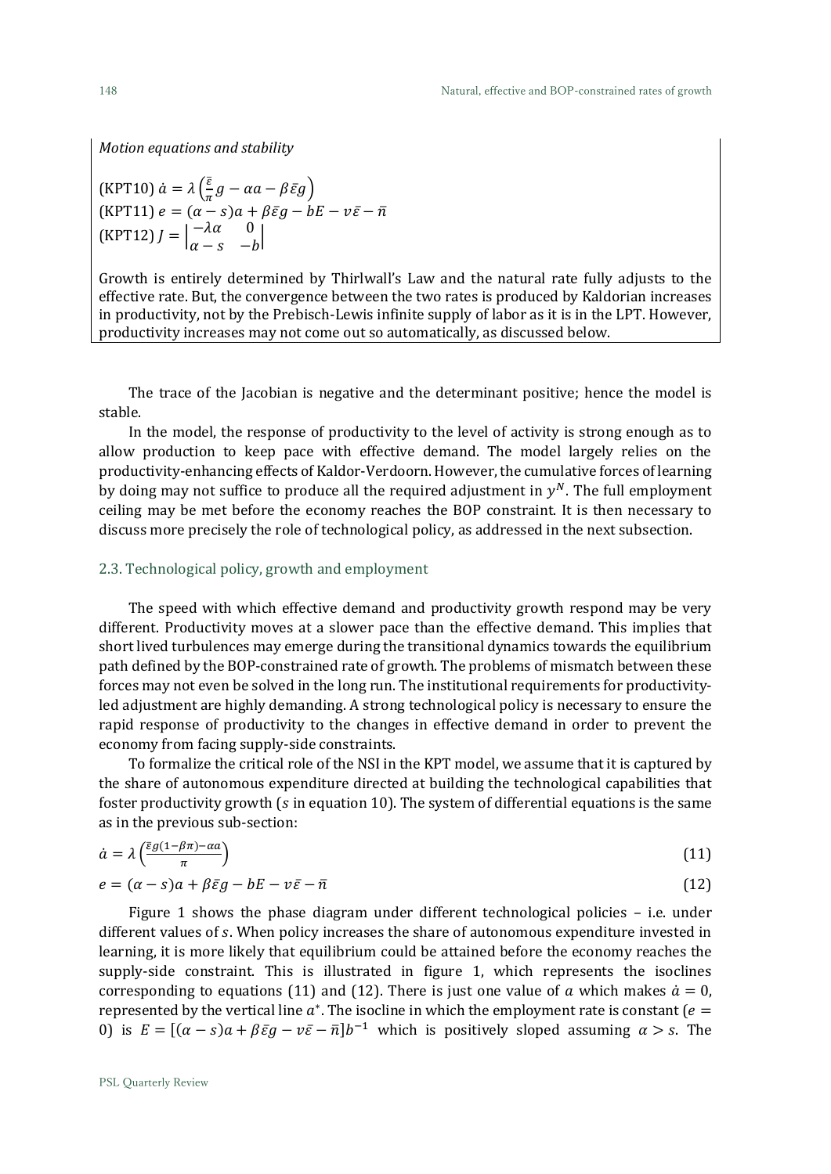*Motion equations and stability*

(KPT10) 
$$
\dot{a} = \lambda \left( \frac{\bar{\varepsilon}}{\pi} g - \alpha a - \beta \bar{\varepsilon} g \right)
$$
  
\n(KPT11)  $e = (\alpha - s) a + \beta \bar{\varepsilon} g - bE - v\bar{\varepsilon} - \bar{n}$   
\n(KPT12)  $J = \begin{vmatrix} -\lambda \alpha & 0 \\ \alpha - s & -b \end{vmatrix}$ 

Growth is entirely determined by Thirlwall's Law and the natural rate fully adjusts to the effective rate. But, the convergence between the two rates is produced by Kaldorian increases in productivity, not by the Prebisch-Lewis infinite supply of labor as it is in the LPT. However, productivity increases may not come out so automatically, as discussed below.

The trace of the Jacobian is negative and the determinant positive; hence the model is stable.

In the model, the response of productivity to the level of activity is strong enough as to allow production to keep pace with effective demand. The model largely relies on the productivity-enhancing effects of Kaldor-Verdoorn. However, the cumulative forces of learning by doing may not suffice to produce all the required adjustment in  $y^N$ . The full employment ceiling may be met before the economy reaches the BOP constraint. It is then necessary to discuss more precisely the role of technological policy, as addressed in the next subsection.

# 2.3. Technological policy, growth and employment

The speed with which effective demand and productivity growth respond may be very different. Productivity moves at a slower pace than the effective demand. This implies that short lived turbulences may emerge during the transitional dynamics towards the equilibrium path defined by the BOP-constrained rate of growth. The problems of mismatch between these forces may not even be solved in the long run. The institutional requirements for productivityled adjustment are highly demanding. A strong technological policy is necessary to ensure the rapid response of productivity to the changes in effective demand in order to prevent the economy from facing supply-side constraints.

To formalize the critical role of the NSI in the KPT model, we assume that it is captured by the share of autonomous expenditure directed at building the technological capabilities that foster productivity growth ( $s$  in equation 10). The system of differential equations is the same as in the previous sub-section:

$$
\dot{a} = \lambda \left( \frac{\bar{\epsilon}g(1 - \beta \pi) - \alpha a}{\pi} \right) \tag{11}
$$

$$
e = (\alpha - s)a + \beta \bar{\varepsilon}g - bE - v\bar{\varepsilon} - \bar{n} \tag{12}
$$

Figure 1 shows the phase diagram under different technological policies – i.e. under different values of s. When policy increases the share of autonomous expenditure invested in learning, it is more likely that equilibrium could be attained before the economy reaches the supply-side constraint. This is illustrated in figure 1, which represents the isoclines corresponding to equations (11) and (12). There is just one value of a which makes  $\dot{a} = 0$ , represented by the vertical line  $a^*$ . The isocline in which the employment rate is constant ( $e =$ 0) is  $E = [(\alpha - s)a + \beta \bar{\varepsilon}g - v\bar{\varepsilon} - \bar{n}]b^{-1}$  which is positively sloped assuming  $\alpha > s$ . The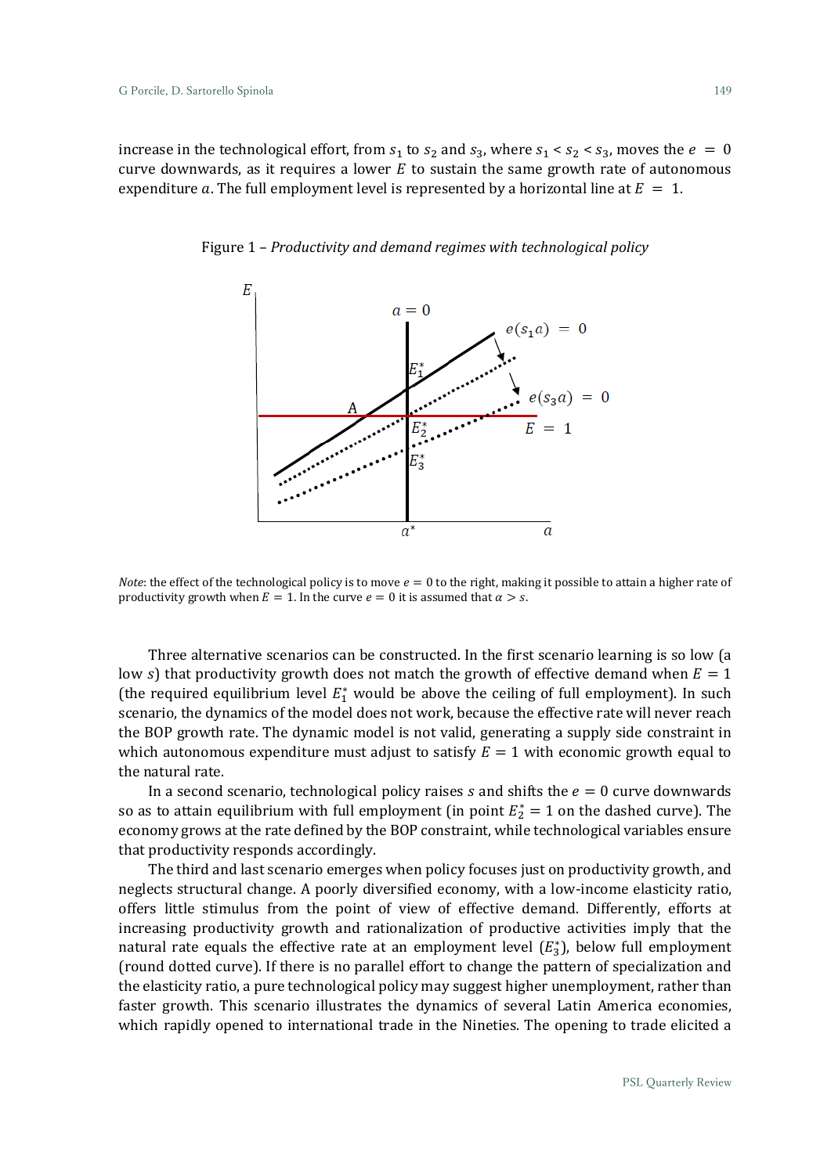increase in the technological effort, from  $s_1$  to  $s_2$  and  $s_3$ , where  $s_1 < s_2 < s_3$ , moves the  $e = 0$ curve downwards, as it requires a lower  $E$  to sustain the same growth rate of autonomous expenditure a. The full employment level is represented by a horizontal line at  $E = 1$ .



Figure 1 – *Productivity and demand regimes with technological policy*

*Note*: the effect of the technological policy is to move  $e = 0$  to the right, making it possible to attain a higher rate of productivity growth when  $E = 1$ . In the curve  $e = 0$  it is assumed that  $\alpha > s$ .

Three alternative scenarios can be constructed. In the first scenario learning is so low (a low s) that productivity growth does not match the growth of effective demand when  $E = 1$ (the required equilibrium level  $E_1^*$  would be above the ceiling of full employment). In such scenario, the dynamics of the model does not work, because the effective rate will never reach the BOP growth rate. The dynamic model is not valid, generating a supply side constraint in which autonomous expenditure must adjust to satisfy  $E = 1$  with economic growth equal to the natural rate.

In a second scenario, technological policy raises  $s$  and shifts the  $e = 0$  curve downwards so as to attain equilibrium with full employment (in point  $E_2^* = 1$  on the dashed curve). The economy grows at the rate defined by the BOP constraint, while technological variables ensure that productivity responds accordingly.

The third and last scenario emerges when policy focuses just on productivity growth, and neglects structural change. A poorly diversified economy, with a low-income elasticity ratio, offers little stimulus from the point of view of effective demand. Differently, efforts at increasing productivity growth and rationalization of productive activities imply that the natural rate equals the effective rate at an employment level  $(E_3^*)$ , below full employment (round dotted curve). If there is no parallel effort to change the pattern of specialization and the elasticity ratio, a pure technological policy may suggest higher unemployment, rather than faster growth. This scenario illustrates the dynamics of several Latin America economies, which rapidly opened to international trade in the Nineties. The opening to trade elicited a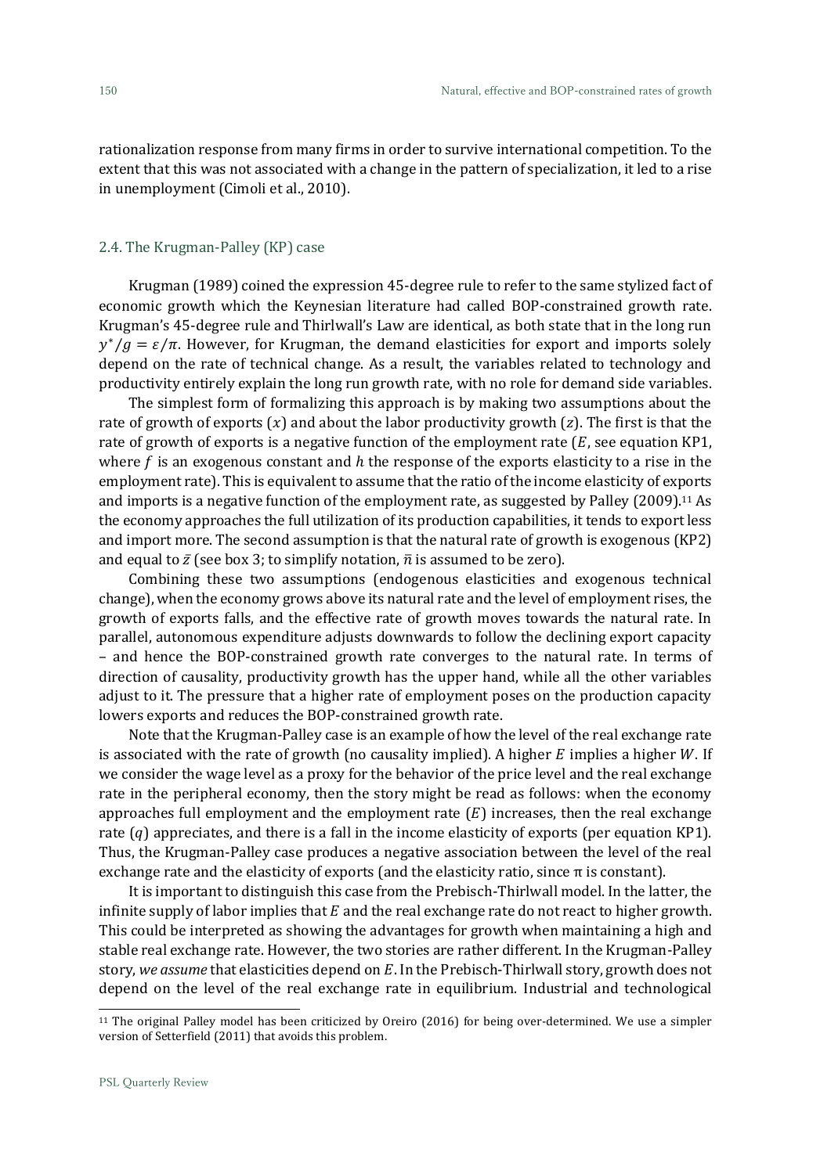rationalization response from many firms in order to survive international competition. To the extent that this was not associated with a change in the pattern of specialization, it led to a rise in unemployment (Cimoli et al., 2010).

# 2.4. The Krugman-Palley (KP) case

Krugman (1989) coined the expression 45-degree rule to refer to the same stylized fact of economic growth which the Keynesian literature had called BOP-constrained growth rate. Krugman's 45-degree rule and Thirlwall's Law are identical, as both state that in the long run  $y^*/g = \varepsilon/\pi$ . However, for Krugman, the demand elasticities for export and imports solely depend on the rate of technical change. As a result, the variables related to technology and productivity entirely explain the long run growth rate, with no role for demand side variables.

The simplest form of formalizing this approach is by making two assumptions about the rate of growth of exports  $(x)$  and about the labor productivity growth  $(z)$ . The first is that the rate of growth of exports is a negative function of the employment rate  $(E, \text{see equation KP1},$ where  $f$  is an exogenous constant and  $h$  the response of the exports elasticity to a rise in the employment rate). This is equivalent to assume that the ratio of the income elasticity of exports and imports is a negative function of the employment rate, as suggested by Palley (2009).<sup>11</sup> As the economy approaches the full utilization of its production capabilities, it tends to export less and import more. The second assumption is that the natural rate of growth is exogenous (KP2) and equal to  $\bar{z}$  (see box 3; to simplify notation,  $\bar{n}$  is assumed to be zero).

Combining these two assumptions (endogenous elasticities and exogenous technical change), when the economy grows above its natural rate and the level of employment rises, the growth of exports falls, and the effective rate of growth moves towards the natural rate. In parallel, autonomous expenditure adjusts downwards to follow the declining export capacity – and hence the BOP-constrained growth rate converges to the natural rate. In terms of direction of causality, productivity growth has the upper hand, while all the other variables adjust to it. The pressure that a higher rate of employment poses on the production capacity lowers exports and reduces the BOP-constrained growth rate.

Note that the Krugman-Palley case is an example of how the level of the real exchange rate is associated with the rate of growth (no causality implied). A higher  $E$  implies a higher  $W$ . If we consider the wage level as a proxy for the behavior of the price level and the real exchange rate in the peripheral economy, then the story might be read as follows: when the economy approaches full employment and the employment rate  $(E)$  increases, then the real exchange rate  $(q)$  appreciates, and there is a fall in the income elasticity of exports (per equation KP1). Thus, the Krugman-Palley case produces a negative association between the level of the real exchange rate and the elasticity of exports (and the elasticity ratio, since π is constant).

It is important to distinguish this case from the Prebisch-Thirlwall model. In the latter, the infinite supply of labor implies that  $E$  and the real exchange rate do not react to higher growth. This could be interpreted as showing the advantages for growth when maintaining a high and stable real exchange rate. However, the two stories are rather different. In the Krugman-Palley story, we assume that elasticities depend on E. In the Prebisch-Thirlwall story, growth does not depend on the level of the real exchange rate in equilibrium. Industrial and technological

<sup>11</sup> The original Palley model has been criticized by Oreiro (2016) for being over-determined. We use a simpler version of Setterfield (2011) that avoids this problem.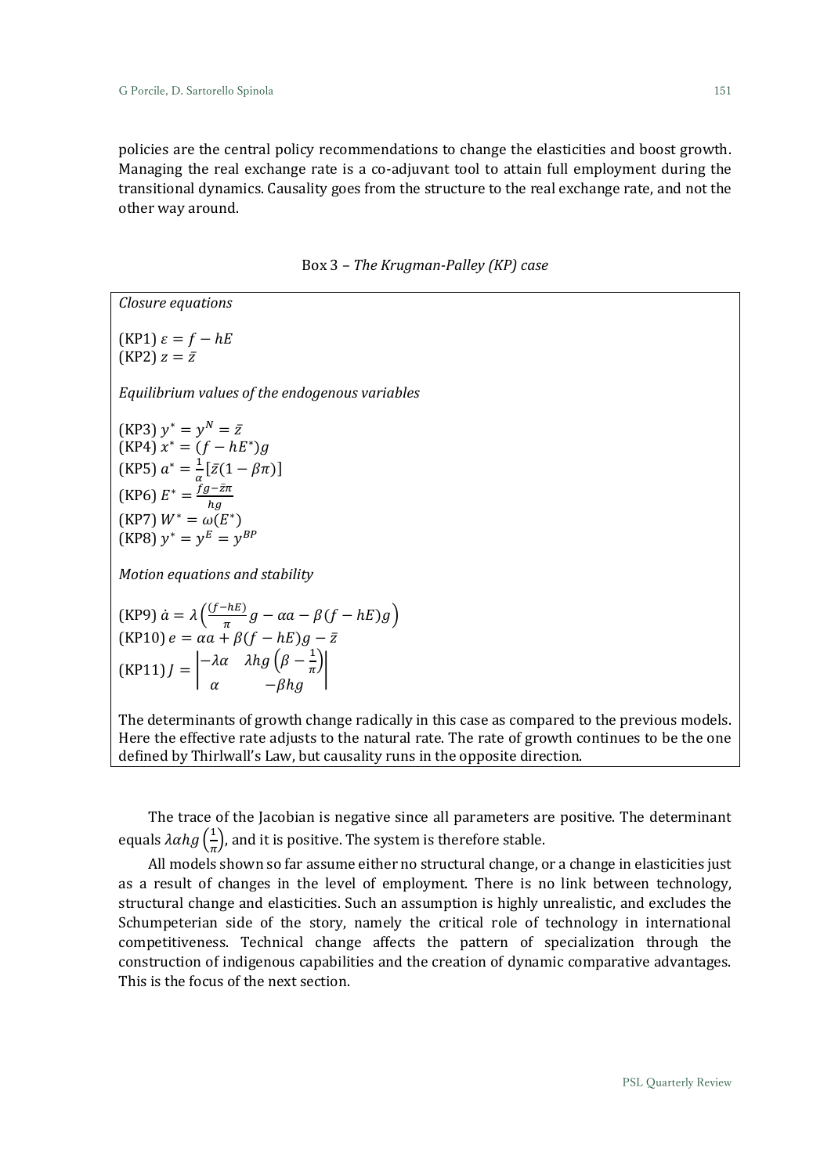policies are the central policy recommendations to change the elasticities and boost growth. Managing the real exchange rate is a co-adjuvant tool to attain full employment during the transitional dynamics. Causality goes from the structure to the real exchange rate, and not the other way around.

Box 3 – *The Krugman-Palley (KP) case*

*Closure equations*  $(KP1)\varepsilon = f - hE$  $(KP2) z = \overline{z}$ *Equilibrium values of the endogenous variables* (KP3)  $y^* = y^N = \bar{z}$  $(KP4) x^* = (f - hE^*)g$ (KP5)  $a^* = \frac{1}{a}$  $\frac{1}{\alpha}[\bar{z}(1-\beta\pi)]$ (KP6)  $E^* = \frac{fg - \bar{z}\pi}{h\bar{z}}$ ℎ  $(KP7) W^* = \omega(E^*)$  $(KP8) y^* = y^E = y^{BP}$ *Motion equations and stability* (KP9)  $\dot{a} = \lambda \left( \frac{(f - hE)}{\pi} \right)$  $\frac{h}{\pi} g - \alpha a - \beta (f - hE) g$  $(KP10) e = \alpha a + \beta (f - hE) g - \bar{z}$  $(KP11)J = \begin{vmatrix} -\lambda \alpha & \lambda h g \left( \beta - \frac{1}{n} \right) \end{vmatrix}$  $\frac{1}{\pi}$  $\alpha$  −βhg |

The determinants of growth change radically in this case as compared to the previous models. Here the effective rate adjusts to the natural rate. The rate of growth continues to be the one defined by Thirlwall's Law, but causality runs in the opposite direction.

The trace of the Jacobian is negative since all parameters are positive. The determinant equals  $\lambda \alpha h g\left(\frac{1}{\pi}\right)$  $\frac{1}{\pi}$ ), and it is positive. The system is therefore stable.

All models shown so far assume either no structural change, or a change in elasticities just as a result of changes in the level of employment. There is no link between technology, structural change and elasticities. Such an assumption is highly unrealistic, and excludes the Schumpeterian side of the story, namely the critical role of technology in international competitiveness. Technical change affects the pattern of specialization through the construction of indigenous capabilities and the creation of dynamic comparative advantages. This is the focus of the next section.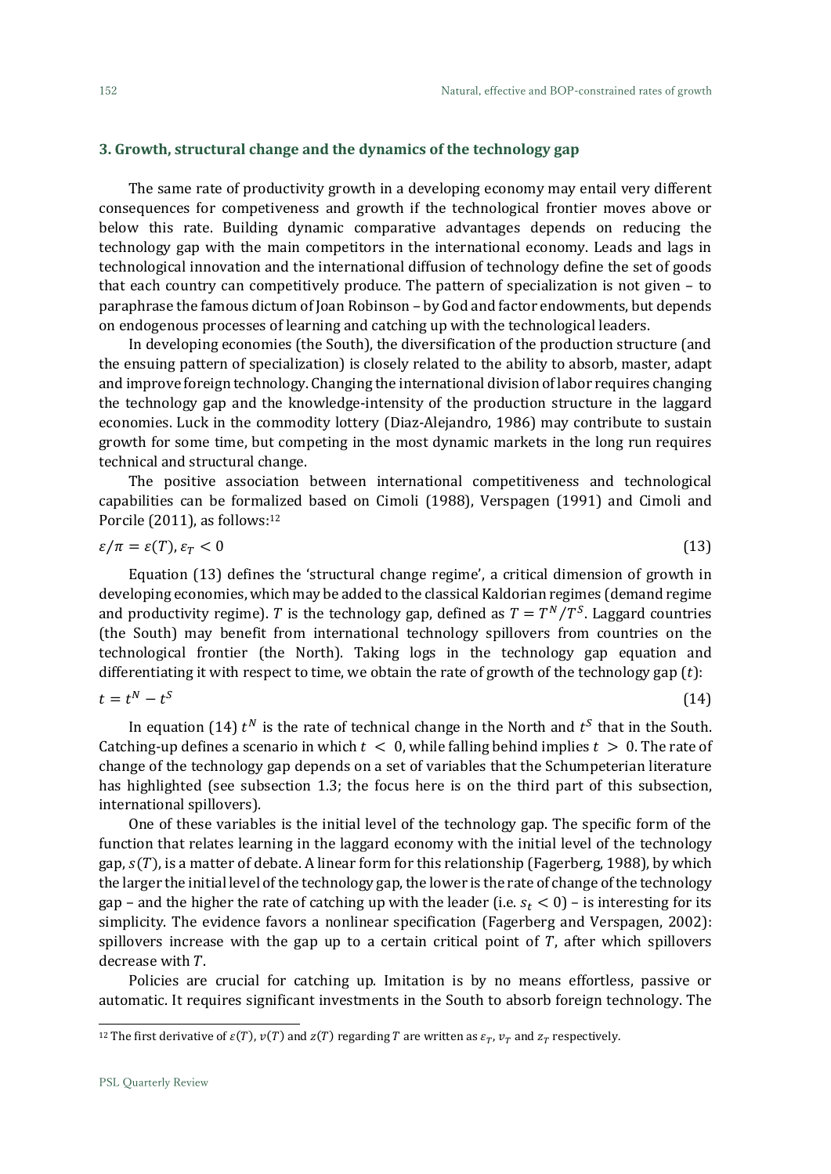#### **3. Growth, structural change and the dynamics of the technology gap**

The same rate of productivity growth in a developing economy may entail very different consequences for competiveness and growth if the technological frontier moves above or below this rate. Building dynamic comparative advantages depends on reducing the technology gap with the main competitors in the international economy. Leads and lags in technological innovation and the international diffusion of technology define the set of goods that each country can competitively produce. The pattern of specialization is not given – to paraphrase the famous dictum of Joan Robinson – by God and factor endowments, but depends on endogenous processes of learning and catching up with the technological leaders.

In developing economies (the South), the diversification of the production structure (and the ensuing pattern of specialization) is closely related to the ability to absorb, master, adapt and improve foreign technology. Changing the international division of labor requires changing the technology gap and the knowledge-intensity of the production structure in the laggard economies. Luck in the commodity lottery (Diaz-Alejandro, 1986) may contribute to sustain growth for some time, but competing in the most dynamic markets in the long run requires technical and structural change.

The positive association between international competitiveness and technological capabilities can be formalized based on Cimoli (1988), Verspagen (1991) and Cimoli and Porcile (2011), as follows: 12

$$
\varepsilon/\pi = \varepsilon(T), \varepsilon_T < 0 \tag{13}
$$

Equation (13) defines the 'structural change regime', a critical dimension of growth in developing economies, which may be added to the classical Kaldorian regimes (demand regime and productivity regime). T is the technology gap, defined as  $T = T^N/T^S$ . Laggard countries (the South) may benefit from international technology spillovers from countries on the technological frontier (the North). Taking logs in the technology gap equation and differentiating it with respect to time, we obtain the rate of growth of the technology gap  $(t)$ :

$$
t = t^N - t^S \tag{14}
$$

In equation (14)  $t^N$  is the rate of technical change in the North and  $t^S$  that in the South. Catching-up defines a scenario in which  $t < 0$ , while falling behind implies  $t > 0$ . The rate of change of the technology gap depends on a set of variables that the Schumpeterian literature has highlighted (see subsection 1.3; the focus here is on the third part of this subsection, international spillovers).

One of these variables is the initial level of the technology gap. The specific form of the function that relates learning in the laggard economy with the initial level of the technology gap,  $s(T)$ , is a matter of debate. A linear form for this relationship (Fagerberg, 1988), by which the larger the initial level of the technology gap, the lower is the rate of change of the technology gap – and the higher the rate of catching up with the leader (i.e.  $s_t < 0$ ) – is interesting for its simplicity. The evidence favors a nonlinear specification (Fagerberg and Verspagen, 2002): spillovers increase with the gap up to a certain critical point of  $T$ , after which spillovers decrease with  $T$ .

Policies are crucial for catching up. Imitation is by no means effortless, passive or automatic. It requires significant investments in the South to absorb foreign technology. The

<sup>&</sup>lt;sup>12</sup> The first derivative of  $\varepsilon(T)$ ,  $v(T)$  and  $z(T)$  regarding *T* are written as  $\varepsilon_T$ ,  $v_T$  and  $z_T$  respectively.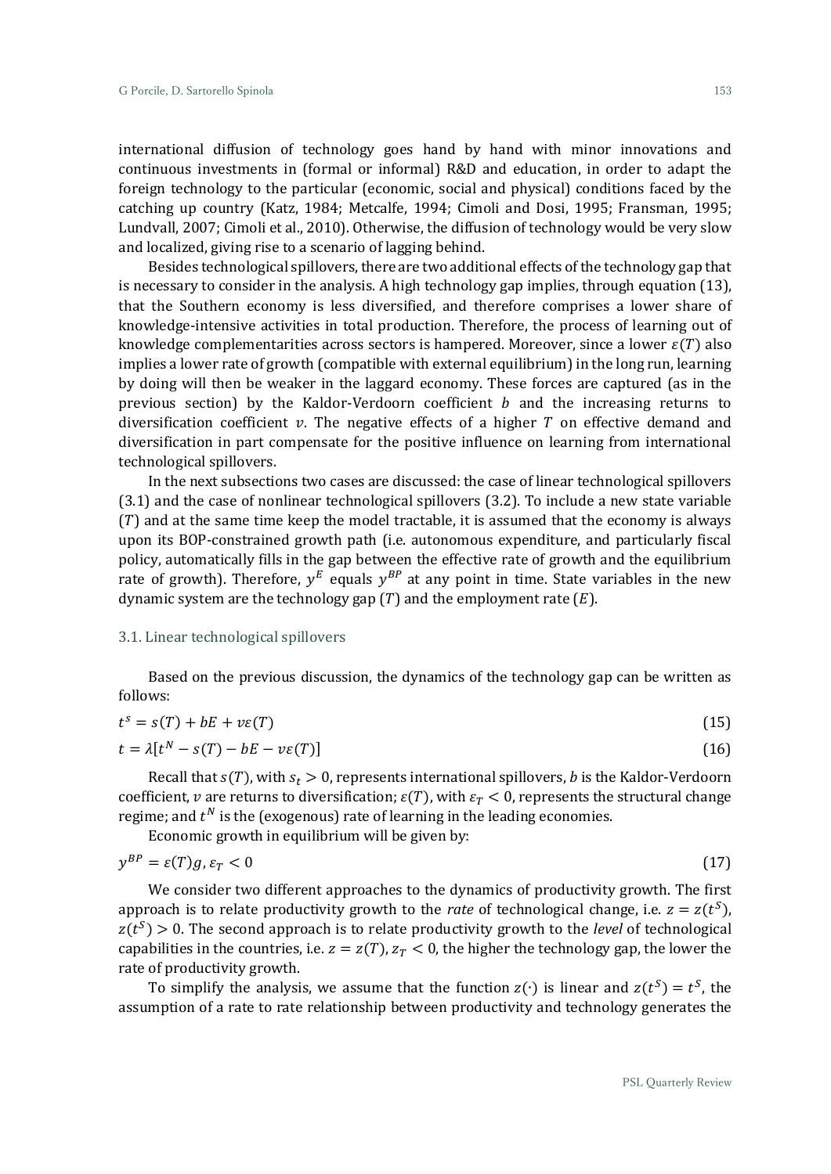international diffusion of technology goes hand by hand with minor innovations and continuous investments in (formal or informal) R&D and education, in order to adapt the foreign technology to the particular (economic, social and physical) conditions faced by the catching up country (Katz, 1984; Metcalfe, 1994; Cimoli and Dosi, 1995; Fransman, 1995; Lundvall, 2007; Cimoli et al., 2010). Otherwise, the diffusion of technology would be very slow and localized, giving rise to a scenario of lagging behind.

Besides technological spillovers, there are two additional effects of the technology gap that is necessary to consider in the analysis. A high technology gap implies, through equation (13), that the Southern economy is less diversified, and therefore comprises a lower share of knowledge-intensive activities in total production. Therefore, the process of learning out of knowledge complementarities across sectors is hampered. Moreover, since a lower  $\varepsilon(T)$  also implies a lower rate of growth (compatible with external equilibrium) in the long run, learning by doing will then be weaker in the laggard economy. These forces are captured (as in the previous section) by the Kaldor-Verdoorn coefficient  $b$  and the increasing returns to diversification coefficient  $\nu$ . The negative effects of a higher T on effective demand and diversification in part compensate for the positive influence on learning from international technological spillovers.

In the next subsections two cases are discussed: the case of linear technological spillovers (3.1) and the case of nonlinear technological spillovers (3.2). To include a new state variable  $(T)$  and at the same time keep the model tractable, it is assumed that the economy is always upon its BOP-constrained growth path (i.e. autonomous expenditure, and particularly fiscal policy, automatically fills in the gap between the effective rate of growth and the equilibrium rate of growth). Therefore,  $y^E$  equals  $y^{BP}$  at any point in time. State variables in the new dynamic system are the technology gap  $(T)$  and the employment rate  $(E)$ .

# 3.1. Linear technological spillovers

Based on the previous discussion, the dynamics of the technology gap can be written as follows:

$$
t^s = s(T) + bE + v\epsilon(T) \tag{15}
$$

$$
t = \lambda \left[ t^N - s(T) - bE - v\varepsilon(T) \right] \tag{16}
$$

Recall that  $s(T)$ , with  $s_t > 0$ , represents international spillovers, *b* is the Kaldor-Verdoorn coefficient, v are returns to diversification;  $\varepsilon(T)$ , with  $\varepsilon_T < 0$ , represents the structural change regime; and  $t^N$  is the (exogenous) rate of learning in the leading economies.

Economic growth in equilibrium will be given by:

$$
y^{BP} = \varepsilon(T)g, \varepsilon_T < 0 \tag{17}
$$

We consider two different approaches to the dynamics of productivity growth. The first approach is to relate productivity growth to the *rate* of technological change, i.e.  $z = z(t^S)$ ,  $z(t^{S}) > 0$ . The second approach is to relate productivity growth to the *level* of technological capabilities in the countries, i.e.  $z = z(T)$ ,  $z_T < 0$ , the higher the technology gap, the lower the rate of productivity growth.

To simplify the analysis, we assume that the function  $z(·)$  is linear and  $z(t<sup>S</sup>) = t<sup>S</sup>$ , the assumption of a rate to rate relationship between productivity and technology generates the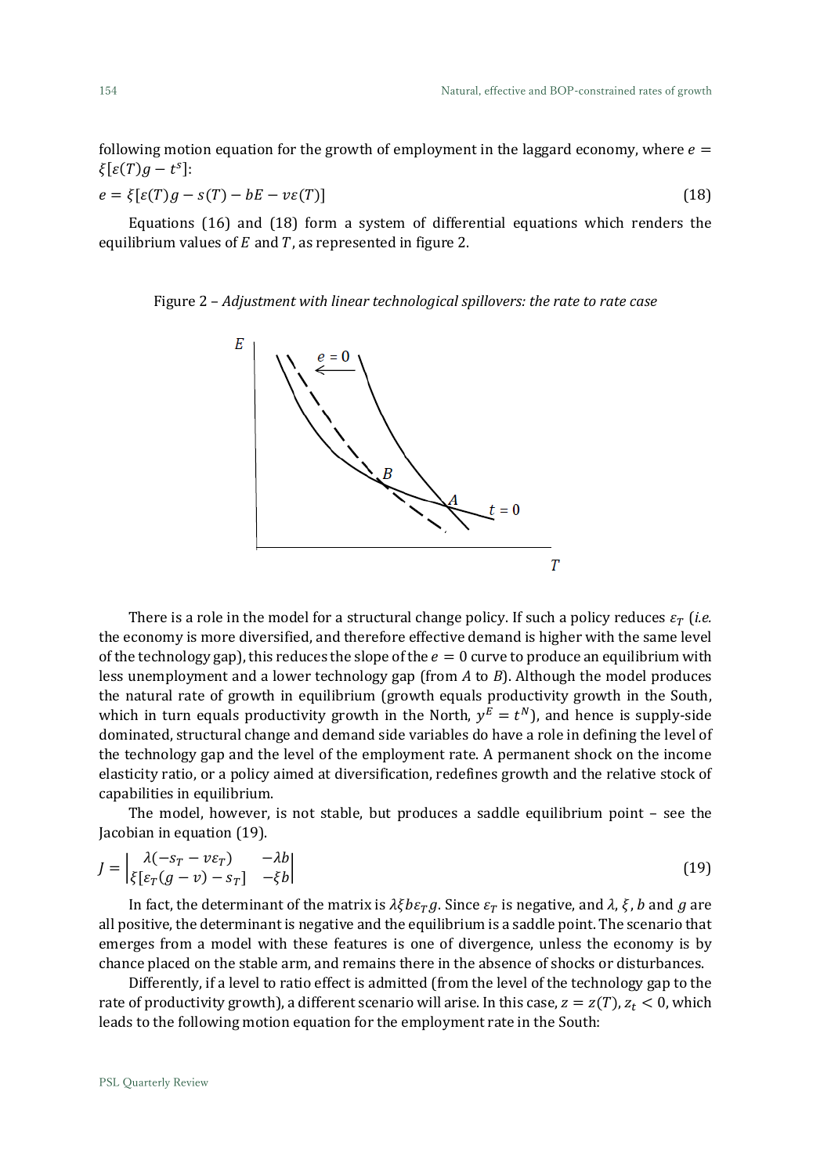following motion equation for the growth of employment in the laggard economy, where  $e =$  $\xi[\varepsilon(T)g - t^s]$ :

$$
e = \xi[\varepsilon(T)g - s(T) - bE - v\varepsilon(T)]
$$
\n(18)

Equations (16) and (18) form a system of differential equations which renders the equilibrium values of  $E$  and  $T$ , as represented in figure 2.

### Figure 2 – *Adjustment with linear technological spillovers: the rate to rate case*



There is a role in the model for a structural change policy. If such a policy reduces  $\varepsilon_T$  (*i.e.* the economy is more diversified, and therefore effective demand is higher with the same level of the technology gap), this reduces the slope of the  $e = 0$  curve to produce an equilibrium with less unemployment and a lower technology gap (from *A* to *B*). Although the model produces the natural rate of growth in equilibrium (growth equals productivity growth in the South, which in turn equals productivity growth in the North,  $y^E = t^N$ ), and hence is supply-side dominated, structural change and demand side variables do have a role in defining the level of the technology gap and the level of the employment rate. A permanent shock on the income elasticity ratio, or a policy aimed at diversification, redefines growth and the relative stock of capabilities in equilibrium.

The model, however, is not stable, but produces a saddle equilibrium point – see the Jacobian in equation (19).

$$
J = \begin{vmatrix} \lambda(-s_T - v\varepsilon_T) & -\lambda b \\ \xi[\varepsilon_T(g - v) - s_T] & -\xi b \end{vmatrix}
$$
 (19)

In fact, the determinant of the matrix is  $\lambda \xi b \varepsilon_T g$ . Since  $\varepsilon_T$  is negative, and  $\lambda$ ,  $\xi$ ,  $b$  and  $g$  are all positive, the determinant is negative and the equilibrium is a saddle point. The scenario that emerges from a model with these features is one of divergence, unless the economy is by chance placed on the stable arm, and remains there in the absence of shocks or disturbances.

Differently, if a level to ratio effect is admitted (from the level of the technology gap to the rate of productivity growth), a different scenario will arise. In this case,  $z = z(T)$ ,  $z_t < 0$ , which leads to the following motion equation for the employment rate in the South: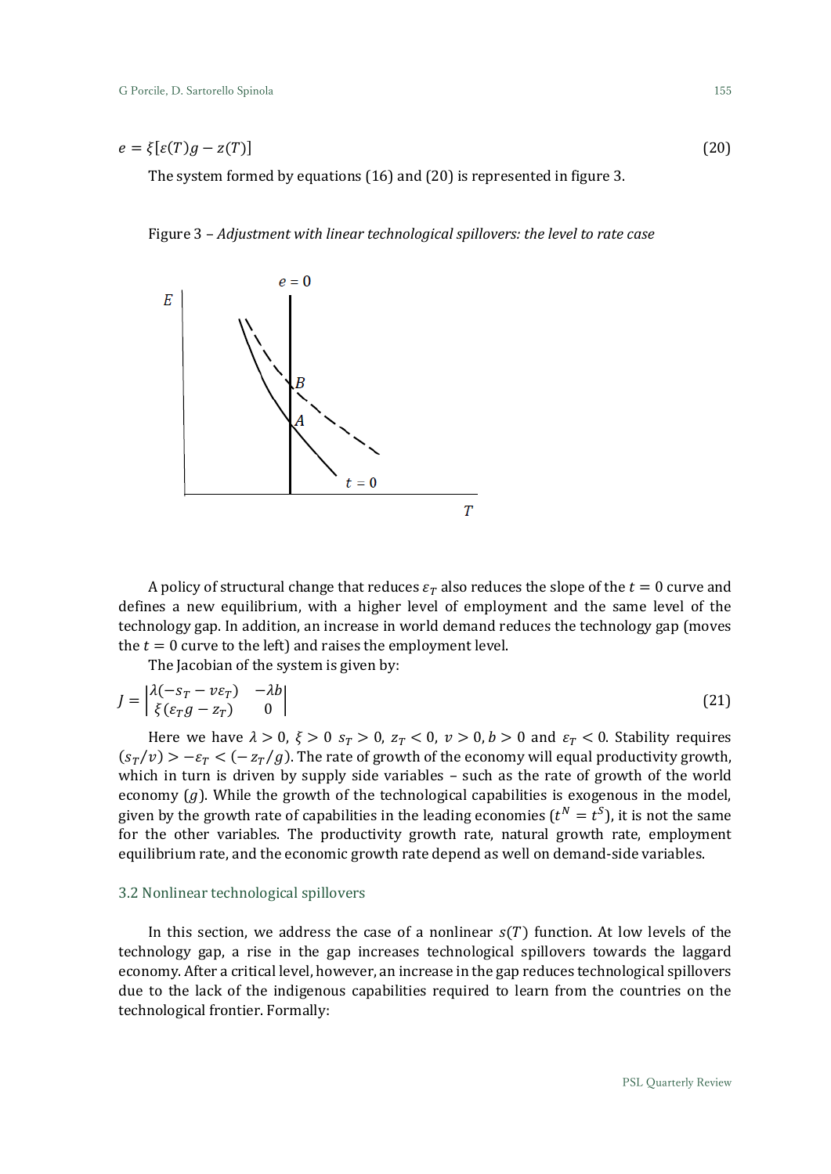$$
e = \xi[\varepsilon(T)g - z(T)] \tag{20}
$$

The system formed by equations (16) and (20) is represented in figure 3.

Figure 3 – *Adjustment with linear technological spillovers: the level to rate case*



A policy of structural change that reduces  $\varepsilon_T$  also reduces the slope of the  $t = 0$  curve and defines a new equilibrium, with a higher level of employment and the same level of the technology gap. In addition, an increase in world demand reduces the technology gap (moves the  $t = 0$  curve to the left) and raises the employment level.

The Jacobian of the system is given by:

$$
J = \begin{vmatrix} \lambda(-s_T - v\epsilon_T) & -\lambda b \\ \xi(\epsilon_T g - z_T) & 0 \end{vmatrix}
$$
 (21)

Here we have  $\lambda > 0$ ,  $\xi > 0$   $s_T > 0$ ,  $z_T < 0$ ,  $\nu > 0$ ,  $b > 0$  and  $\varepsilon_T < 0$ . Stability requires  $(s_T/v) > -\varepsilon_T < (-z_T/g)$ . The rate of growth of the economy will equal productivity growth, which in turn is driven by supply side variables – such as the rate of growth of the world economy  $(g)$ . While the growth of the technological capabilities is exogenous in the model, given by the growth rate of capabilities in the leading economies ( $t^N = t^S$ ), it is not the same for the other variables. The productivity growth rate, natural growth rate, employment equilibrium rate, and the economic growth rate depend as well on demand-side variables.

# 3.2 Nonlinear technological spillovers

In this section, we address the case of a nonlinear  $s(T)$  function. At low levels of the technology gap, a rise in the gap increases technological spillovers towards the laggard economy. After a critical level, however, an increase in the gap reduces technological spillovers due to the lack of the indigenous capabilities required to learn from the countries on the technological frontier. Formally: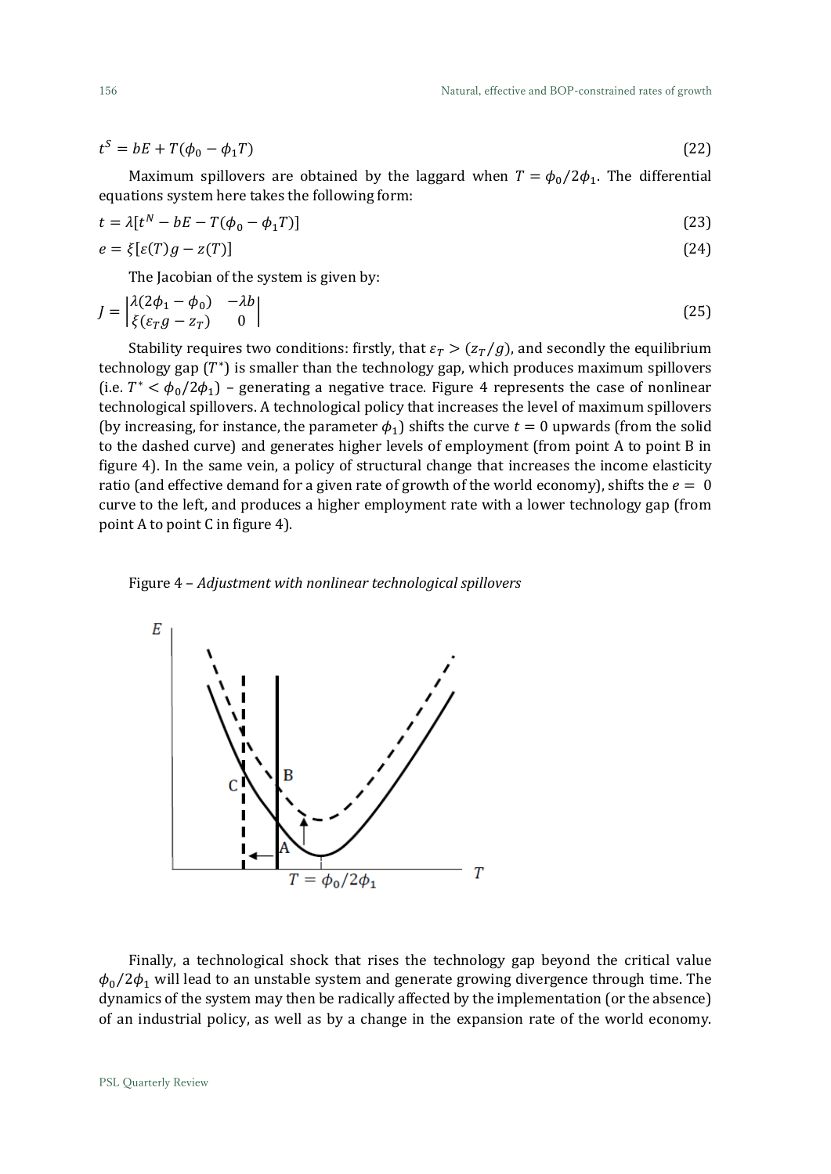$$
tS = bE + T(\phi_0 - \phi_1 T) \tag{22}
$$

Maximum spillovers are obtained by the laggard when  $T = \phi_0/2\phi_1$ . The differential equations system here takes the following form:

$$
t = \lambda[t^N - bE - T(\phi_0 - \phi_1 T)]
$$
  
\n
$$
e = \xi[\varepsilon(T)g - z(T)]
$$
\n(23)

The Jacobian of the system is given by:

$$
J = \begin{vmatrix} \lambda(2\phi_1 - \phi_0) & -\lambda b \\ \xi(\varepsilon_T g - z_T) & 0 \end{vmatrix}
$$
 (25)

Stability requires two conditions: firstly, that  $\varepsilon_T > (z_T/g)$ , and secondly the equilibrium technology gap  $(T^*)$  is smaller than the technology gap, which produces maximum spillovers (i.e.  $T^* < \phi_0/2\phi_1$ ) – generating a negative trace. Figure 4 represents the case of nonlinear technological spillovers. A technological policy that increases the level of maximum spillovers (by increasing, for instance, the parameter  $\phi_1$ ) shifts the curve  $t = 0$  upwards (from the solid to the dashed curve) and generates higher levels of employment (from point A to point B in figure 4). In the same vein, a policy of structural change that increases the income elasticity ratio (and effective demand for a given rate of growth of the world economy), shifts the  $e = 0$ curve to the left, and produces a higher employment rate with a lower technology gap (from point A to point C in figure 4).

![](_page_17_Figure_7.jpeg)

![](_page_17_Figure_8.jpeg)

Finally, a technological shock that rises the technology gap beyond the critical value  $\phi_0/2\phi_1$  will lead to an unstable system and generate growing divergence through time. The dynamics of the system may then be radically affected by the implementation (or the absence) of an industrial policy, as well as by a change in the expansion rate of the world economy.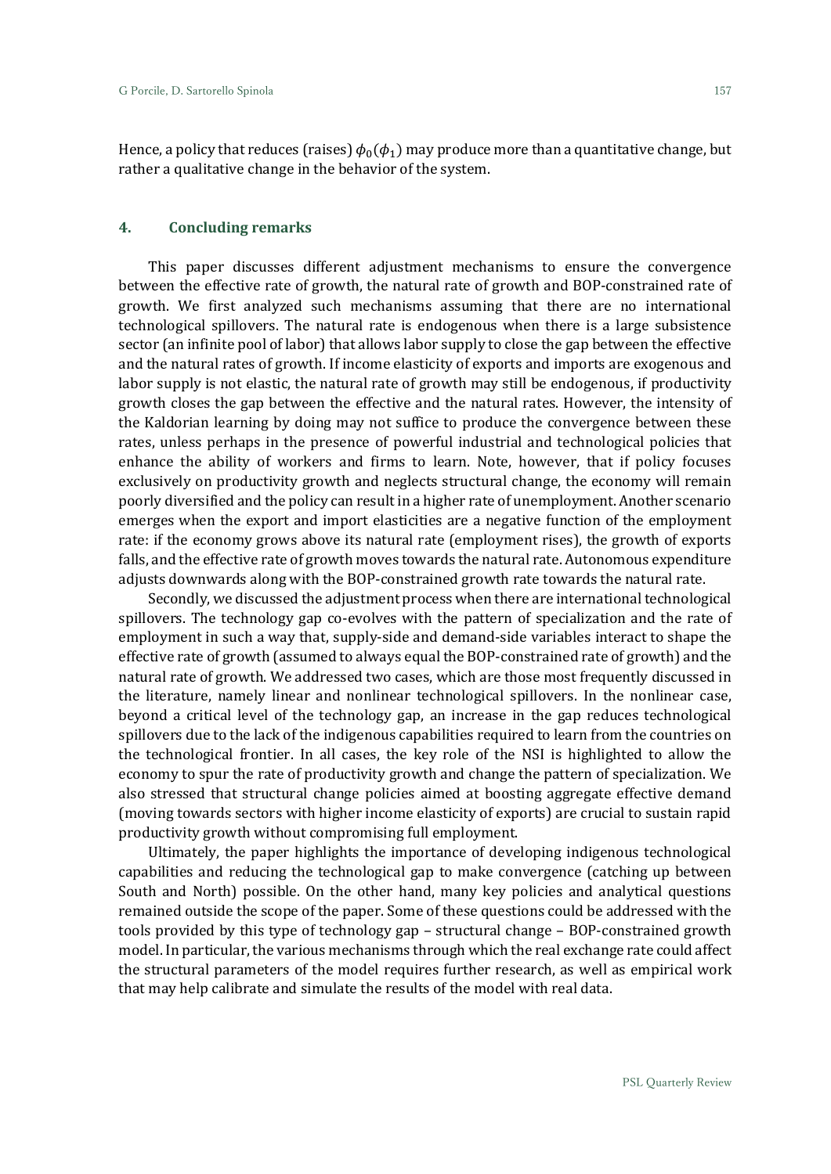Hence, a policy that reduces (raises)  $\phi_0(\phi_1)$  may produce more than a quantitative change, but rather a qualitative change in the behavior of the system.

# **4. Concluding remarks**

This paper discusses different adjustment mechanisms to ensure the convergence between the effective rate of growth, the natural rate of growth and BOP-constrained rate of growth. We first analyzed such mechanisms assuming that there are no international technological spillovers. The natural rate is endogenous when there is a large subsistence sector (an infinite pool of labor) that allows labor supply to close the gap between the effective and the natural rates of growth. If income elasticity of exports and imports are exogenous and labor supply is not elastic, the natural rate of growth may still be endogenous, if productivity growth closes the gap between the effective and the natural rates. However, the intensity of the Kaldorian learning by doing may not suffice to produce the convergence between these rates, unless perhaps in the presence of powerful industrial and technological policies that enhance the ability of workers and firms to learn. Note, however, that if policy focuses exclusively on productivity growth and neglects structural change, the economy will remain poorly diversified and the policy can result in a higher rate of unemployment. Another scenario emerges when the export and import elasticities are a negative function of the employment rate: if the economy grows above its natural rate (employment rises), the growth of exports falls, and the effective rate of growth moves towards the natural rate. Autonomous expenditure adjusts downwards along with the BOP-constrained growth rate towards the natural rate.

Secondly, we discussed the adjustment process when there are international technological spillovers. The technology gap co-evolves with the pattern of specialization and the rate of employment in such a way that, supply-side and demand-side variables interact to shape the effective rate of growth (assumed to always equal the BOP-constrained rate of growth) and the natural rate of growth. We addressed two cases, which are those most frequently discussed in the literature, namely linear and nonlinear technological spillovers. In the nonlinear case, beyond a critical level of the technology gap, an increase in the gap reduces technological spillovers due to the lack of the indigenous capabilities required to learn from the countries on the technological frontier. In all cases, the key role of the NSI is highlighted to allow the economy to spur the rate of productivity growth and change the pattern of specialization. We also stressed that structural change policies aimed at boosting aggregate effective demand (moving towards sectors with higher income elasticity of exports) are crucial to sustain rapid productivity growth without compromising full employment.

Ultimately, the paper highlights the importance of developing indigenous technological capabilities and reducing the technological gap to make convergence (catching up between South and North) possible. On the other hand, many key policies and analytical questions remained outside the scope of the paper. Some of these questions could be addressed with the tools provided by this type of technology gap – structural change – BOP-constrained growth model. In particular, the various mechanisms through which the real exchange rate could affect the structural parameters of the model requires further research, as well as empirical work that may help calibrate and simulate the results of the model with real data.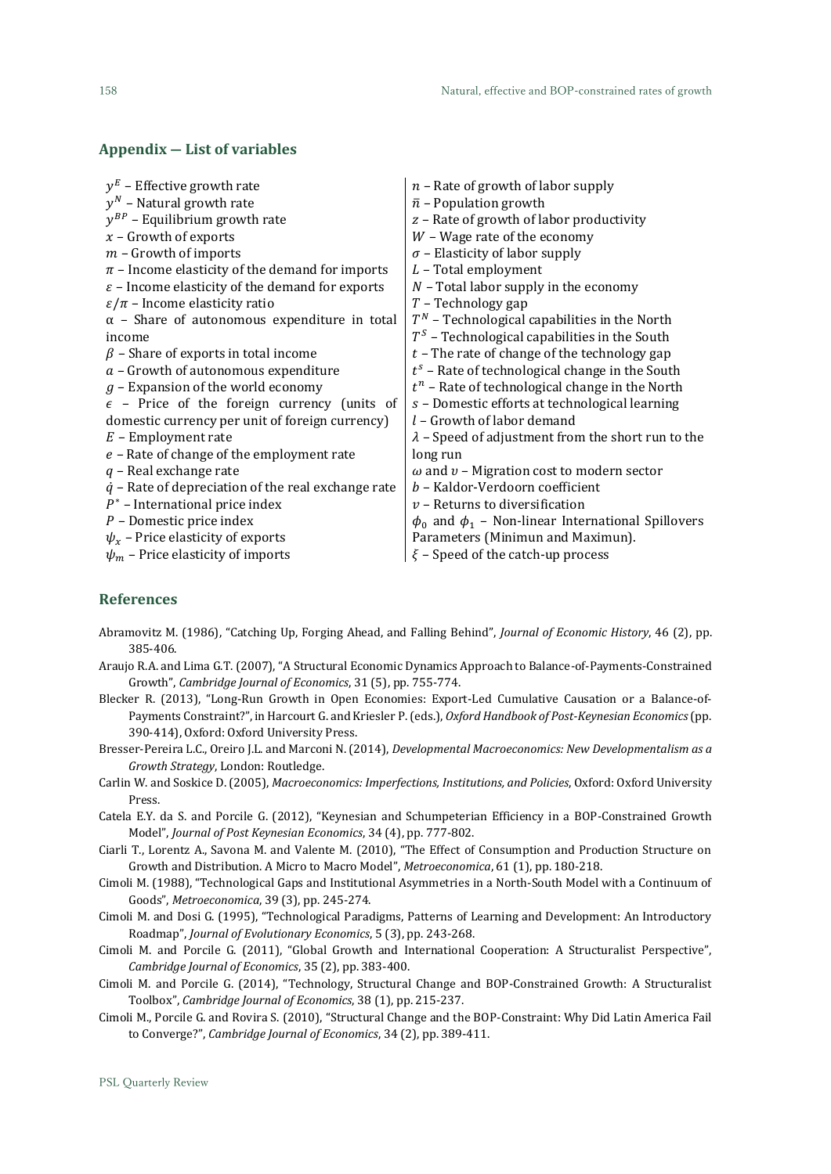# **Appendix ― List of variables**

| $y^E$ – Effective growth rate                               | $n$ – Rate of growth of labor supply                        |
|-------------------------------------------------------------|-------------------------------------------------------------|
| $y^N$ – Natural growth rate                                 | $\bar{n}$ – Population growth                               |
| $y^{BP}$ – Equilibrium growth rate                          | z - Rate of growth of labor productivity                    |
| $x$ – Growth of exports                                     | $W$ – Wage rate of the economy                              |
| $m$ – Growth of imports                                     | $\sigma$ – Elasticity of labor supply                       |
| $\pi$ – Income elasticity of the demand for imports         | $L$ – Total employment                                      |
| $\varepsilon$ – Income elasticity of the demand for exports | $N$ – Total labor supply in the economy                     |
| $\varepsilon/\pi$ – Income elasticity ratio                 | $T$ – Technology gap                                        |
| $\alpha$ - Share of autonomous expenditure in total         | $T^N$ – Technological capabilities in the North             |
| income                                                      | $TS$ – Technological capabilities in the South              |
| $\beta$ – Share of exports in total income                  | $t$ - The rate of change of the technology gap              |
| $a$ – Growth of autonomous expenditure                      | $t^s$ – Rate of technological change in the South           |
| $g$ – Expansion of the world economy                        | $t^n$ – Rate of technological change in the North           |
| $\epsilon$ - Price of the foreign currency (units of        | s - Domestic efforts at technological learning              |
| domestic currency per unit of foreign currency)             | $l$ – Growth of labor demand                                |
| $E$ – Employment rate                                       | $\lambda$ – Speed of adjustment from the short run to the   |
| $e$ - Rate of change of the employment rate                 | long run                                                    |
| $q$ – Real exchange rate                                    | $\omega$ and $v$ – Migration cost to modern sector          |
| $\dot{q}$ – Rate of depreciation of the real exchange rate  | b - Kaldor-Verdoorn coefficient                             |
| $P^*$ – International price index                           | $v$ – Returns to diversification                            |
| $P$ – Domestic price index                                  | $\phi_0$ and $\phi_1$ – Non-linear International Spillovers |
| $\psi_x$ – Price elasticity of exports                      | Parameters (Minimun and Maximun).                           |
| $\psi_m$ – Price elasticity of imports                      | $\xi$ – Speed of the catch-up process                       |

# **References**

- Abramovitz M. (1986), "Catching Up, Forging Ahead, and Falling Behind", *Journal of Economic History*, 46 (2), pp. 385-406.
- Araujo R.A. and Lima G.T. (2007), "A Structural Economic Dynamics Approach to Balance-of-Payments-Constrained Growth", *Cambridge Journal of Economics*, 31 (5), pp. 755-774.
- Blecker R. (2013), "Long-Run Growth in Open Economies: Export-Led Cumulative Causation or a Balance-of-Payments Constraint?", in Harcourt G. and Kriesler P. (eds.), *Oxford Handbook of Post-Keynesian Economics* (pp. 390-414), Oxford: Oxford University Press.
- Bresser-Pereira L.C., Oreiro J.L. and Marconi N. (2014), *Developmental Macroeconomics: New Developmentalism as a Growth Strategy*, London: Routledge.
- Carlin W. and Soskice D. (2005), *Macroeconomics: Imperfections, Institutions, and Policies*, Oxford: Oxford University Press.
- Catela E.Y. da S. and Porcile G. (2012), "Keynesian and Schumpeterian Efficiency in a BOP-Constrained Growth Model", *Journal of Post Keynesian Economics*, 34 (4), pp. 777-802.
- Ciarli T., Lorentz A., Savona M. and Valente M. (2010), "The Effect of Consumption and Production Structure on Growth and Distribution. A Micro to Macro Model", *Metroeconomica*, 61 (1), pp. 180-218.
- Cimoli M. (1988), "Technological Gaps and Institutional Asymmetries in a North-South Model with a Continuum of Goods", *Metroeconomica*, 39 (3), pp. 245-274.
- Cimoli M. and Dosi G. (1995), "Technological Paradigms, Patterns of Learning and Development: An Introductory Roadmap", *Journal of Evolutionary Economics*, 5 (3), pp. 243-268.
- Cimoli M. and Porcile G. (2011), "Global Growth and International Cooperation: A Structuralist Perspective", *Cambridge Journal of Economics*, 35 (2), pp. 383-400.
- Cimoli M. and Porcile G. (2014), "Technology, Structural Change and BOP-Constrained Growth: A Structuralist Toolbox", *Cambridge Journal of Economics*, 38 (1), pp. 215-237.
- Cimoli M., Porcile G. and Rovira S. (2010), "Structural Change and the BOP-Constraint: Why Did Latin America Fail to Converge?", *Cambridge Journal of Economics*, 34 (2), pp. 389-411.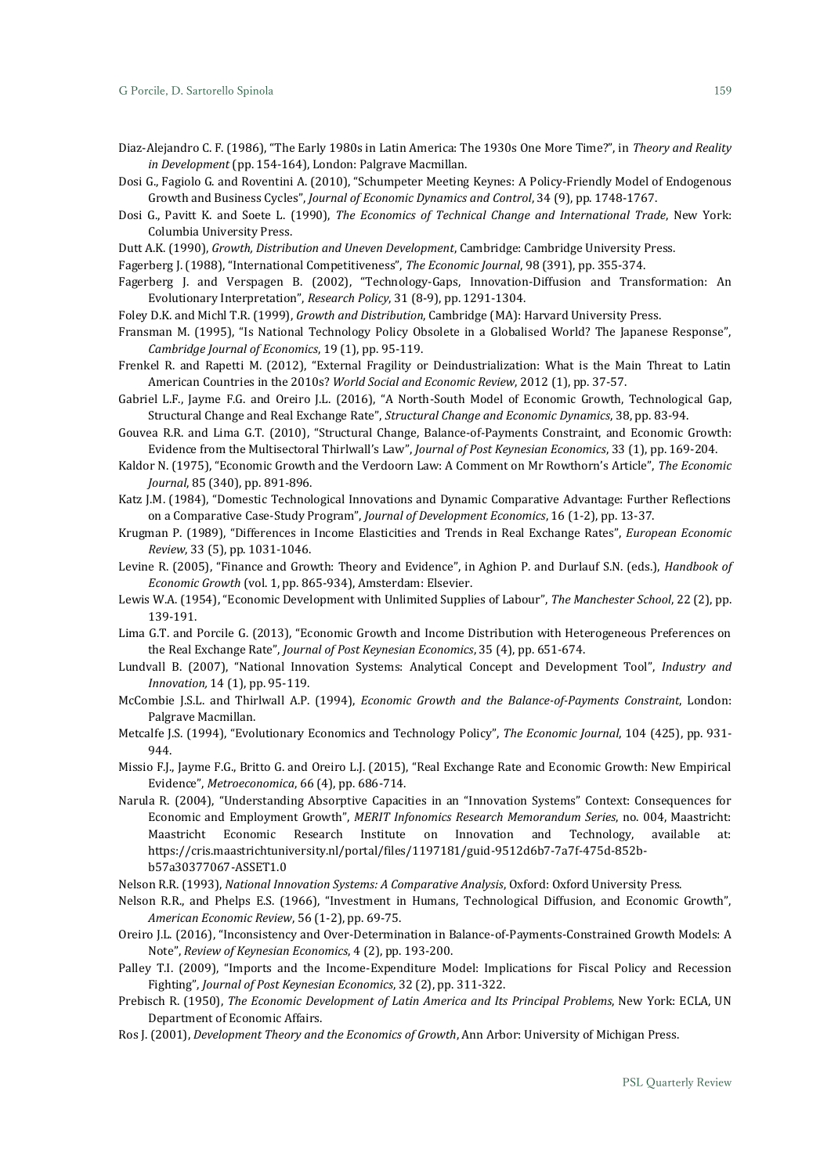- Diaz-Alejandro C. F. (1986), "The Early 1980s in Latin America: The 1930s One More Time?", in *Theory and Reality in Development* (pp. 154-164), London: Palgrave Macmillan.
- Dosi G., Fagiolo G. and Roventini A. (2010), "Schumpeter Meeting Keynes: A Policy-Friendly Model of Endogenous Growth and Business Cycles", *Journal of Economic Dynamics and Control*, 34 (9), pp. 1748-1767.
- Dosi G., Pavitt K. and Soete L. (1990), *The Economics of Technical Change and International Trade*, New York: Columbia University Press.
- Dutt A.K. (1990), *Growth, Distribution and Uneven Development*, Cambridge: Cambridge University Press.

Fagerberg J. (1988), "International Competitiveness", *The Economic Journal*, 98 (391), pp. 355-374.

- Fagerberg J. and Verspagen B. (2002), "Technology-Gaps, Innovation-Diffusion and Transformation: An Evolutionary Interpretation", *Research Policy*, 31 (8-9), pp. 1291-1304.
- Foley D.K. and Michl T.R. (1999), *Growth and Distribution*, Cambridge (MA): Harvard University Press.
- Fransman M. (1995), "Is National Technology Policy Obsolete in a Globalised World? The Japanese Response", *Cambridge Journal of Economics*, 19 (1), pp. 95-119.
- Frenkel R. and Rapetti M. (2012), "External Fragility or Deindustrialization: What is the Main Threat to Latin American Countries in the 2010s? *World Social and Economic Review*, 2012 (1), pp. 37-57.
- Gabriel L.F., Jayme F.G. and Oreiro J.L. (2016), "A North-South Model of Economic Growth, Technological Gap, Structural Change and Real Exchange Rate", *Structural Change and Economic Dynamics*, 38, pp. 83-94.
- Gouvea R.R. and Lima G.T. (2010), "Structural Change, Balance-of-Payments Constraint, and Economic Growth: Evidence from the Multisectoral Thirlwall's Law", *Journal of Post Keynesian Economics*, 33 (1), pp. 169-204.
- Kaldor N. (1975), "Economic Growth and the Verdoorn Law: A Comment on Mr Rowthorn's Article", *The Economic Journal*, 85 (340), pp. 891-896.
- Katz J.M. (1984), "Domestic Technological Innovations and Dynamic Comparative Advantage: Further Reflections on a Comparative Case-Study Program", *Journal of Development Economics*, 16 (1-2), pp. 13-37.
- Krugman P. (1989), "Differences in Income Elasticities and Trends in Real Exchange Rates", *European Economic Review*, 33 (5), pp. 1031-1046.
- Levine R. (2005), "Finance and Growth: Theory and Evidence", in Aghion P. and Durlauf S.N. (eds.), *Handbook of Economic Growth* (vol. 1, pp. 865-934), Amsterdam: Elsevier.
- Lewis W.A. (1954), "Economic Development with Unlimited Supplies of Labour", *The Manchester School*, 22 (2), pp. 139-191.
- Lima G.T. and Porcile G. (2013), "Economic Growth and Income Distribution with Heterogeneous Preferences on the Real Exchange Rate", *Journal of Post Keynesian Economics*, 35 (4), pp. 651-674.
- Lundvall B. (2007), "National Innovation Systems: Analytical Concept and Development Tool", *Industry and Innovation,* 14 (1), pp. 95-119.
- McCombie J.S.L. and Thirlwall A.P. (1994), *Economic Growth and the Balance-of-Payments Constraint*, London: Palgrave Macmillan.
- Metcalfe J.S. (1994), "Evolutionary Economics and Technology Policy", *The Economic Journal*, 104 (425), pp. 931- 944.
- Missio F.J., Jayme F.G., Britto G. and Oreiro L.J. (2015), "Real Exchange Rate and Economic Growth: New Empirical Evidence", *Metroeconomica*, 66 (4), pp. 686-714.
- Narula R. (2004), "Understanding Absorptive Capacities in an "Innovation Systems" Context: Consequences for Economic and Employment Growth", *MERIT Infonomics Research Memorandum Series*, no. 004, Maastricht: Maastricht Economic Research Institute on Innovation and Technology, available at: https://cris.maastrichtuniversity.nl/portal/files/1197181/guid-9512d6b7-7a7f-475d-852bb57a30377067-ASSET1.0
- Nelson R.R. (1993), *National Innovation Systems: A Comparative Analysis*, Oxford: Oxford University Press.
- Nelson R.R., and Phelps E.S. (1966), "Investment in Humans, Technological Diffusion, and Economic Growth", *American Economic Review*, 56 (1-2), pp. 69-75.
- Oreiro J.L. (2016), "Inconsistency and Over-Determination in Balance-of-Payments-Constrained Growth Models: A Note", *Review of Keynesian Economics*, 4 (2), pp. 193-200.
- Palley T.I. (2009), "Imports and the Income-Expenditure Model: Implications for Fiscal Policy and Recession Fighting", *Journal of Post Keynesian Economics*, 32 (2), pp. 311-322.
- Prebisch R. (1950), *The Economic Development of Latin America and Its Principal Problems*, New York: ECLA, UN Department of Economic Affairs.
- Ros J. (2001), *Development Theory and the Economics of Growth*, Ann Arbor: University of Michigan Press.